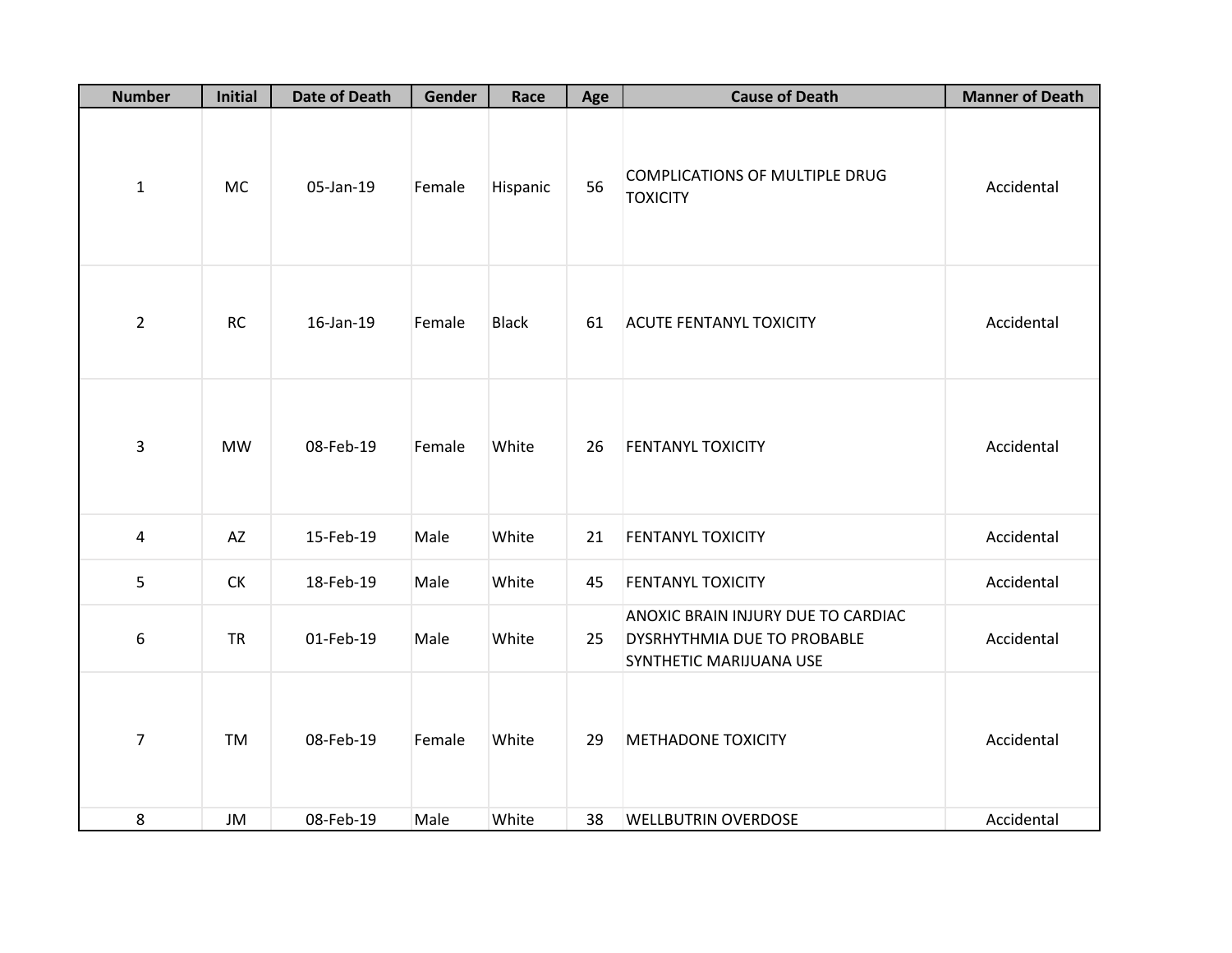| <b>Number</b>  | <b>Initial</b> | <b>Date of Death</b> | Gender | Race         | Age | <b>Cause of Death</b>                                                                        | <b>Manner of Death</b> |
|----------------|----------------|----------------------|--------|--------------|-----|----------------------------------------------------------------------------------------------|------------------------|
| $\mathbf{1}$   | <b>MC</b>      | 05-Jan-19            | Female | Hispanic     | 56  | COMPLICATIONS OF MULTIPLE DRUG<br><b>TOXICITY</b>                                            | Accidental             |
| $\overline{2}$ | <b>RC</b>      | 16-Jan-19            | Female | <b>Black</b> | 61  | <b>ACUTE FENTANYL TOXICITY</b>                                                               | Accidental             |
| 3              | <b>MW</b>      | 08-Feb-19            | Female | White        | 26  | <b>FENTANYL TOXICITY</b>                                                                     | Accidental             |
| $\overline{a}$ | AZ             | 15-Feb-19            | Male   | White        | 21  | <b>FENTANYL TOXICITY</b>                                                                     | Accidental             |
| 5              | <b>CK</b>      | 18-Feb-19            | Male   | White        | 45  | <b>FENTANYL TOXICITY</b>                                                                     | Accidental             |
| 6              | <b>TR</b>      | 01-Feb-19            | Male   | White        | 25  | ANOXIC BRAIN INJURY DUE TO CARDIAC<br>DYSRHYTHMIA DUE TO PROBABLE<br>SYNTHETIC MARIJUANA USE | Accidental             |
| $\overline{7}$ | <b>TM</b>      | 08-Feb-19            | Female | White        | 29  | <b>METHADONE TOXICITY</b>                                                                    | Accidental             |
| 8              | JM             | 08-Feb-19            | Male   | White        | 38  | <b>WELLBUTRIN OVERDOSE</b>                                                                   | Accidental             |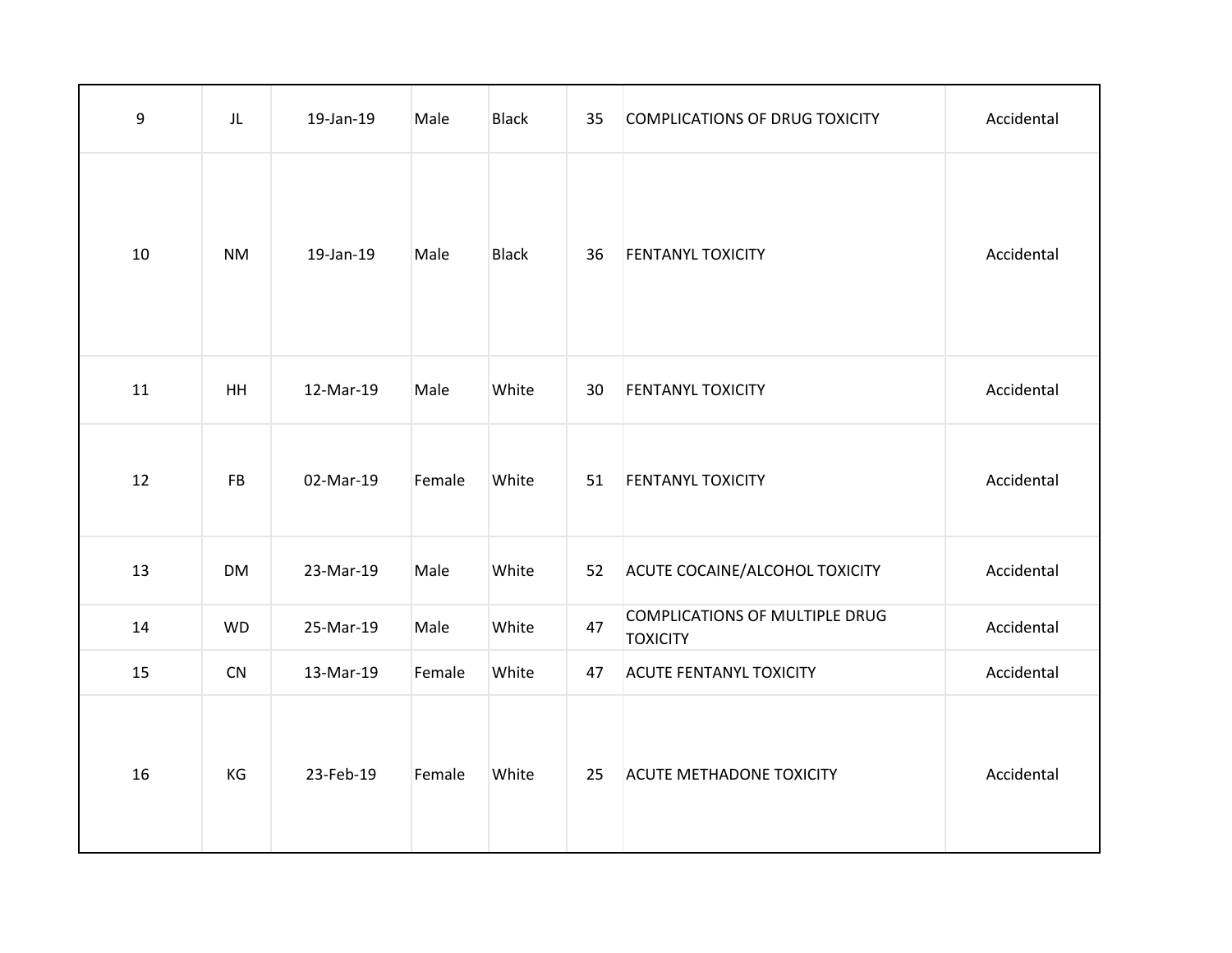| 9  | JL        | 19-Jan-19 | Male   | <b>Black</b> | 35 | <b>COMPLICATIONS OF DRUG TOXICITY</b>                    | Accidental |
|----|-----------|-----------|--------|--------------|----|----------------------------------------------------------|------------|
| 10 | <b>NM</b> | 19-Jan-19 | Male   | <b>Black</b> | 36 | <b>FENTANYL TOXICITY</b>                                 | Accidental |
| 11 | HH        | 12-Mar-19 | Male   | White        | 30 | <b>FENTANYL TOXICITY</b>                                 | Accidental |
| 12 | <b>FB</b> | 02-Mar-19 | Female | White        | 51 | <b>FENTANYL TOXICITY</b>                                 | Accidental |
| 13 | <b>DM</b> | 23-Mar-19 | Male   | White        | 52 | ACUTE COCAINE/ALCOHOL TOXICITY                           | Accidental |
| 14 | <b>WD</b> | 25-Mar-19 | Male   | White        | 47 | <b>COMPLICATIONS OF MULTIPLE DRUG</b><br><b>TOXICITY</b> | Accidental |
| 15 | CN        | 13-Mar-19 | Female | White        | 47 | <b>ACUTE FENTANYL TOXICITY</b>                           | Accidental |
| 16 | KG        | 23-Feb-19 | Female | White        | 25 | <b>ACUTE METHADONE TOXICITY</b>                          | Accidental |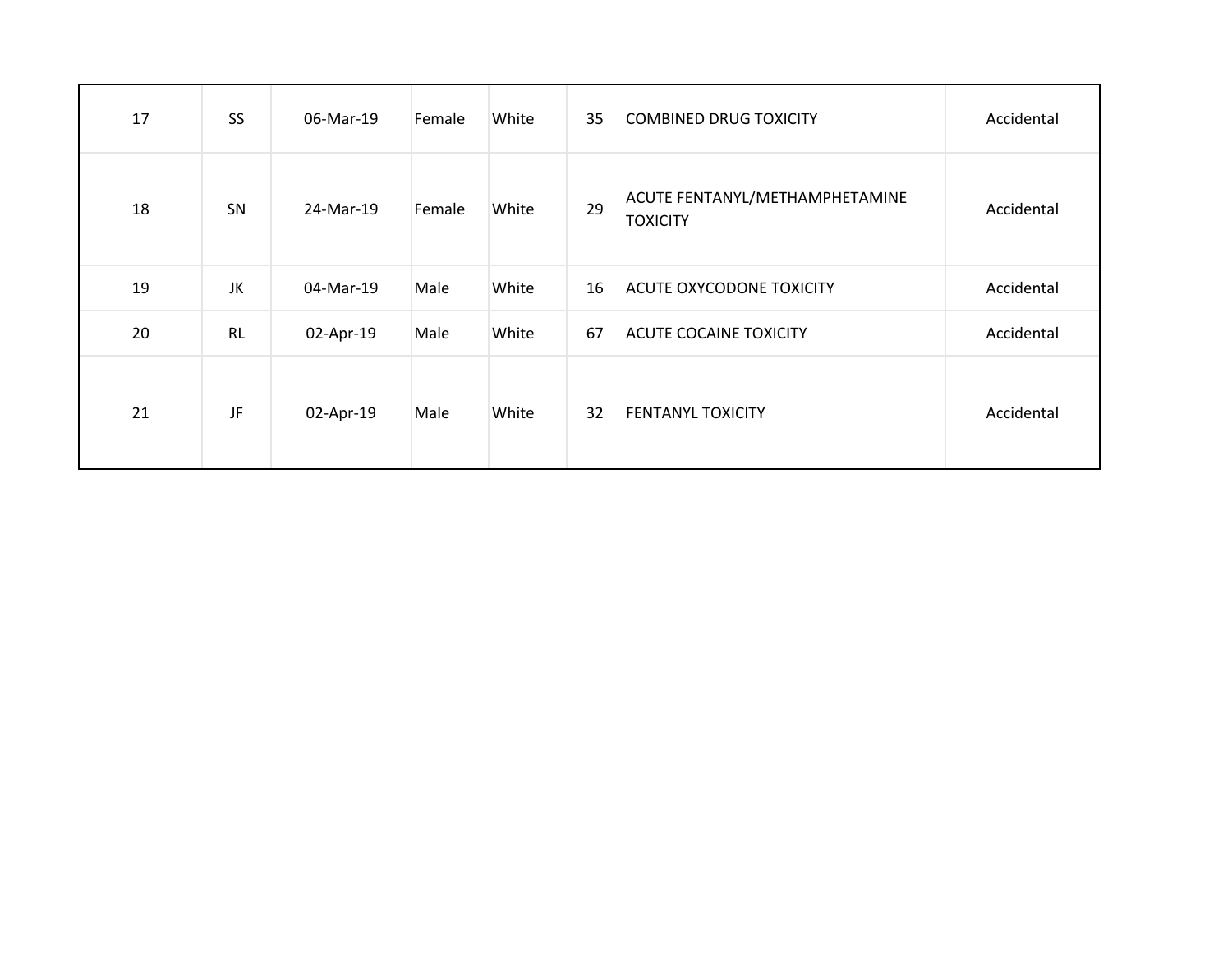| 17 | <b>SS</b> | 06-Mar-19 | Female | White | 35 | <b>COMBINED DRUG TOXICITY</b>                     | Accidental |
|----|-----------|-----------|--------|-------|----|---------------------------------------------------|------------|
| 18 | SN        | 24-Mar-19 | Female | White | 29 | ACUTE FENTANYL/METHAMPHETAMINE<br><b>TOXICITY</b> | Accidental |
| 19 | JK        | 04-Mar-19 | Male   | White | 16 | <b>ACUTE OXYCODONE TOXICITY</b>                   | Accidental |
| 20 | <b>RL</b> | 02-Apr-19 | Male   | White | 67 | <b>ACUTE COCAINE TOXICITY</b>                     | Accidental |
| 21 | JF        | 02-Apr-19 | Male   | White | 32 | <b>FENTANYL TOXICITY</b>                          | Accidental |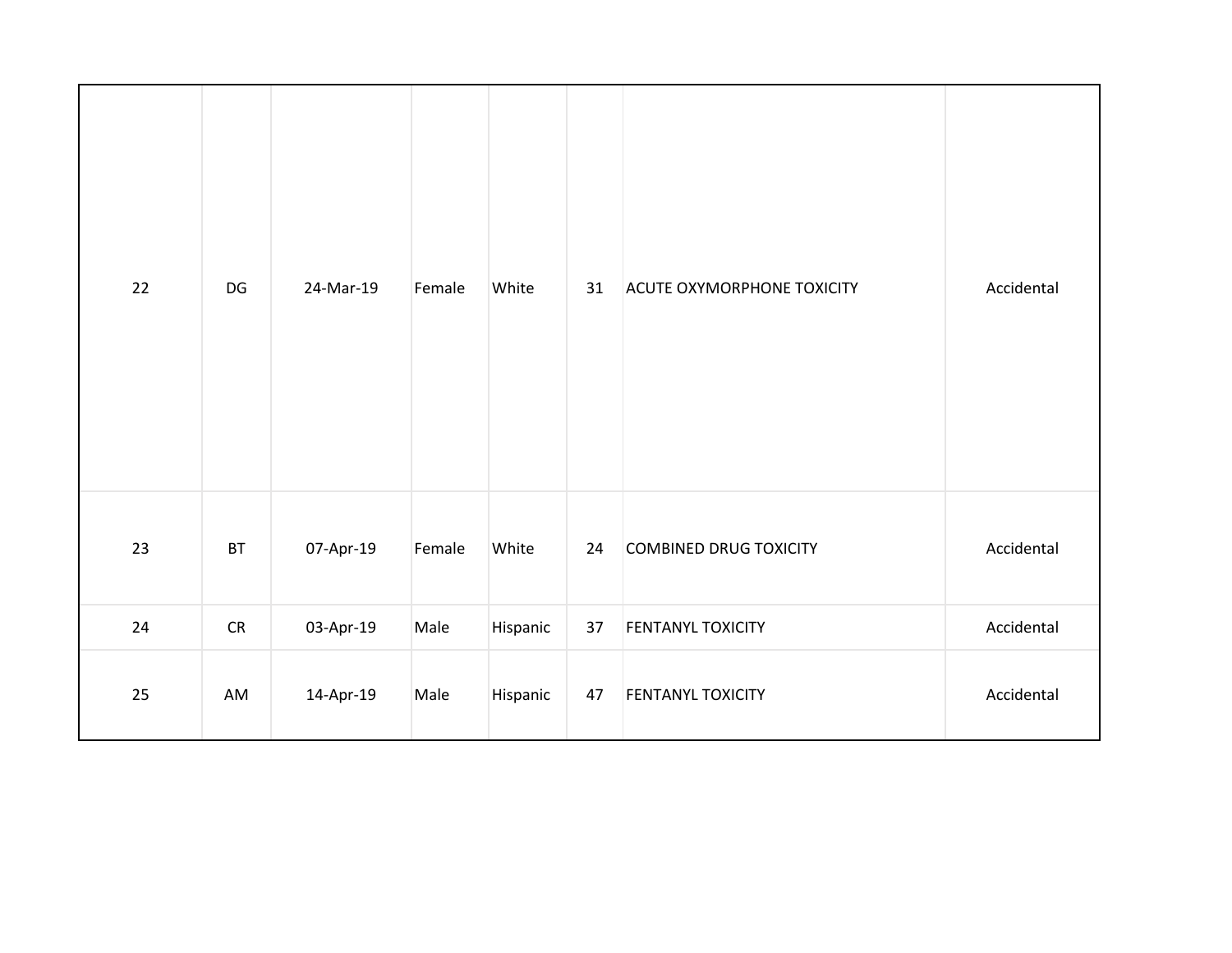| 22 | DG            | 24-Mar-19 | Female | White    | 31 | <b>ACUTE OXYMORPHONE TOXICITY</b> | Accidental |
|----|---------------|-----------|--------|----------|----|-----------------------------------|------------|
| 23 | $\mathsf{BT}$ | 07-Apr-19 | Female | White    | 24 | COMBINED DRUG TOXICITY            | Accidental |
| 24 | ${\sf CR}$    | 03-Apr-19 | Male   | Hispanic | 37 | <b>FENTANYL TOXICITY</b>          | Accidental |
| 25 | AM            | 14-Apr-19 | Male   | Hispanic | 47 | FENTANYL TOXICITY                 | Accidental |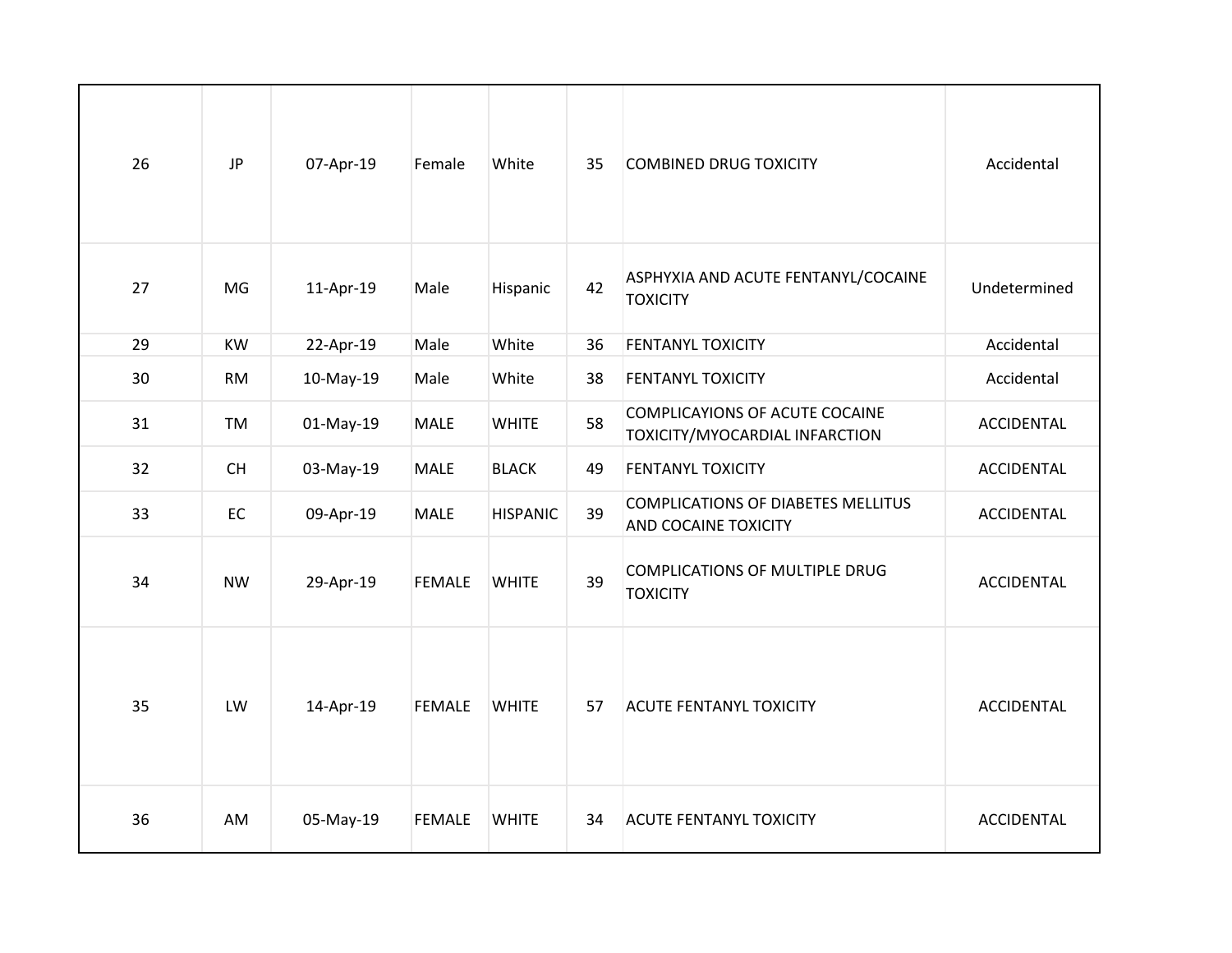| 26 | <b>JP</b> | 07-Apr-19 | Female        | White           | 35 | <b>COMBINED DRUG TOXICITY</b>                                     | Accidental        |
|----|-----------|-----------|---------------|-----------------|----|-------------------------------------------------------------------|-------------------|
| 27 | MG        | 11-Apr-19 | Male          | Hispanic        | 42 | ASPHYXIA AND ACUTE FENTANYL/COCAINE<br><b>TOXICITY</b>            | Undetermined      |
| 29 | KW        | 22-Apr-19 | Male          | White           | 36 | <b>FENTANYL TOXICITY</b>                                          | Accidental        |
| 30 | <b>RM</b> | 10-May-19 | Male          | White           | 38 | <b>FENTANYL TOXICITY</b>                                          | Accidental        |
| 31 | TM        | 01-May-19 | <b>MALE</b>   | <b>WHITE</b>    | 58 | COMPLICAYIONS OF ACUTE COCAINE<br>TOXICITY/MYOCARDIAL INFARCTION  | ACCIDENTAL        |
| 32 | <b>CH</b> | 03-May-19 | <b>MALE</b>   | <b>BLACK</b>    | 49 | <b>FENTANYL TOXICITY</b>                                          | <b>ACCIDENTAL</b> |
| 33 | EC        | 09-Apr-19 | <b>MALE</b>   | <b>HISPANIC</b> | 39 | COMPLICATIONS OF DIABETES MELLITUS<br><b>AND COCAINE TOXICITY</b> | <b>ACCIDENTAL</b> |
| 34 | <b>NW</b> | 29-Apr-19 | <b>FEMALE</b> | <b>WHITE</b>    | 39 | COMPLICATIONS OF MULTIPLE DRUG<br><b>TOXICITY</b>                 | <b>ACCIDENTAL</b> |
| 35 | LW        | 14-Apr-19 | <b>FEMALE</b> | <b>WHITE</b>    | 57 | <b>ACUTE FENTANYL TOXICITY</b>                                    | <b>ACCIDENTAL</b> |
| 36 | AM        | 05-May-19 | <b>FEMALE</b> | <b>WHITE</b>    | 34 | <b>ACUTE FENTANYL TOXICITY</b>                                    | <b>ACCIDENTAL</b> |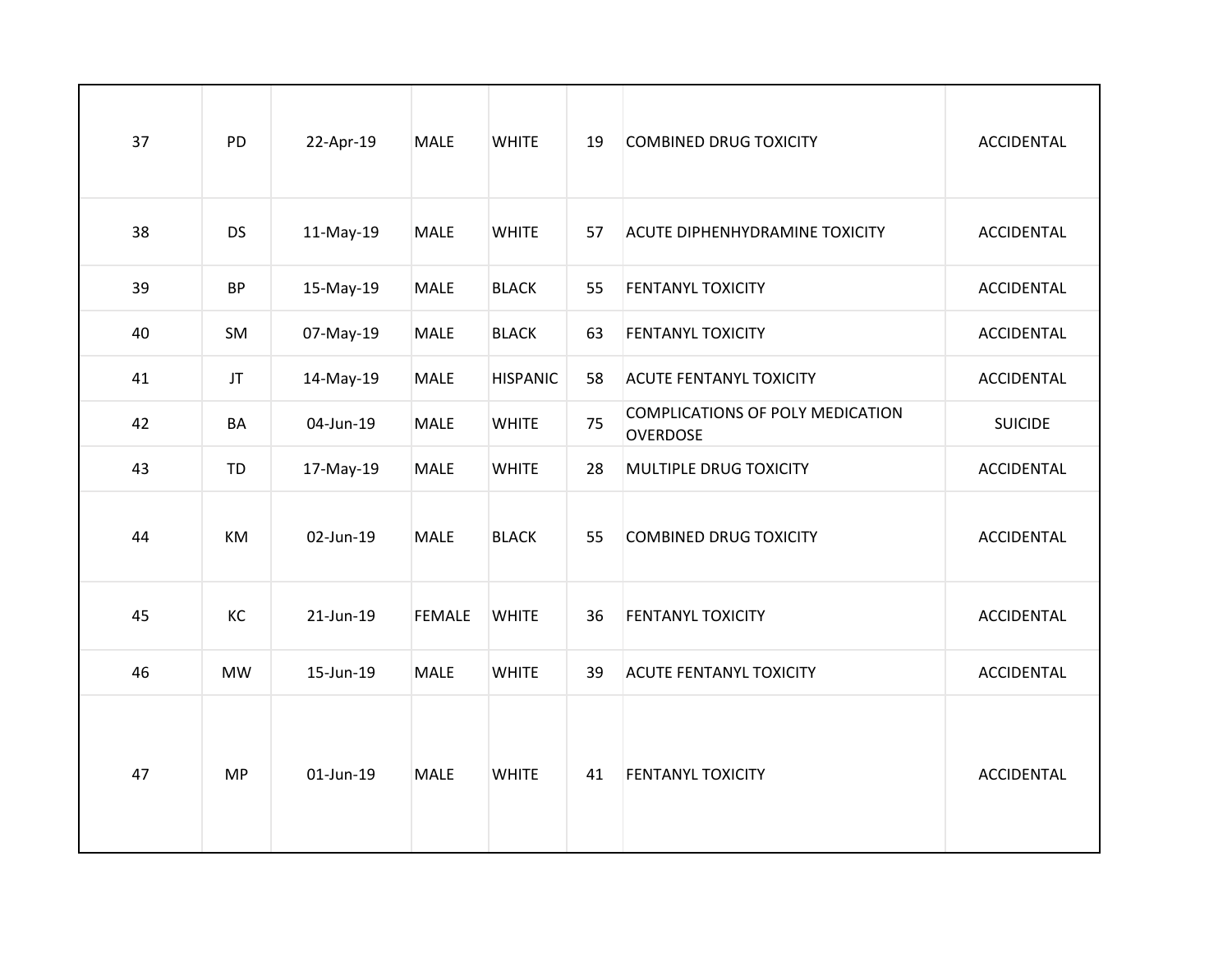| 37 | PD        | 22-Apr-19 | <b>MALE</b>   | <b>WHITE</b>    | 19 | <b>COMBINED DRUG TOXICITY</b>                       | <b>ACCIDENTAL</b> |
|----|-----------|-----------|---------------|-----------------|----|-----------------------------------------------------|-------------------|
| 38 | <b>DS</b> | 11-May-19 | <b>MALE</b>   | <b>WHITE</b>    | 57 | <b>ACUTE DIPHENHYDRAMINE TOXICITY</b>               | ACCIDENTAL        |
| 39 | <b>BP</b> | 15-May-19 | <b>MALE</b>   | <b>BLACK</b>    | 55 | <b>FENTANYL TOXICITY</b>                            | <b>ACCIDENTAL</b> |
| 40 | SM        | 07-May-19 | <b>MALE</b>   | <b>BLACK</b>    | 63 | <b>FENTANYL TOXICITY</b>                            | <b>ACCIDENTAL</b> |
| 41 | JT        | 14-May-19 | <b>MALE</b>   | <b>HISPANIC</b> | 58 | <b>ACUTE FENTANYL TOXICITY</b>                      | <b>ACCIDENTAL</b> |
| 42 | BA        | 04-Jun-19 | <b>MALE</b>   | <b>WHITE</b>    | 75 | COMPLICATIONS OF POLY MEDICATION<br><b>OVERDOSE</b> | <b>SUICIDE</b>    |
| 43 | <b>TD</b> | 17-May-19 | <b>MALE</b>   | <b>WHITE</b>    | 28 | MULTIPLE DRUG TOXICITY                              | <b>ACCIDENTAL</b> |
| 44 | KM        | 02-Jun-19 | <b>MALE</b>   | <b>BLACK</b>    | 55 | <b>COMBINED DRUG TOXICITY</b>                       | <b>ACCIDENTAL</b> |
| 45 | KC        | 21-Jun-19 | <b>FEMALE</b> | <b>WHITE</b>    | 36 | <b>FENTANYL TOXICITY</b>                            | <b>ACCIDENTAL</b> |
| 46 | <b>MW</b> | 15-Jun-19 | <b>MALE</b>   | <b>WHITE</b>    | 39 | <b>ACUTE FENTANYL TOXICITY</b>                      | ACCIDENTAL        |
| 47 | <b>MP</b> | 01-Jun-19 | <b>MALE</b>   | <b>WHITE</b>    | 41 | <b>FENTANYL TOXICITY</b>                            | <b>ACCIDENTAL</b> |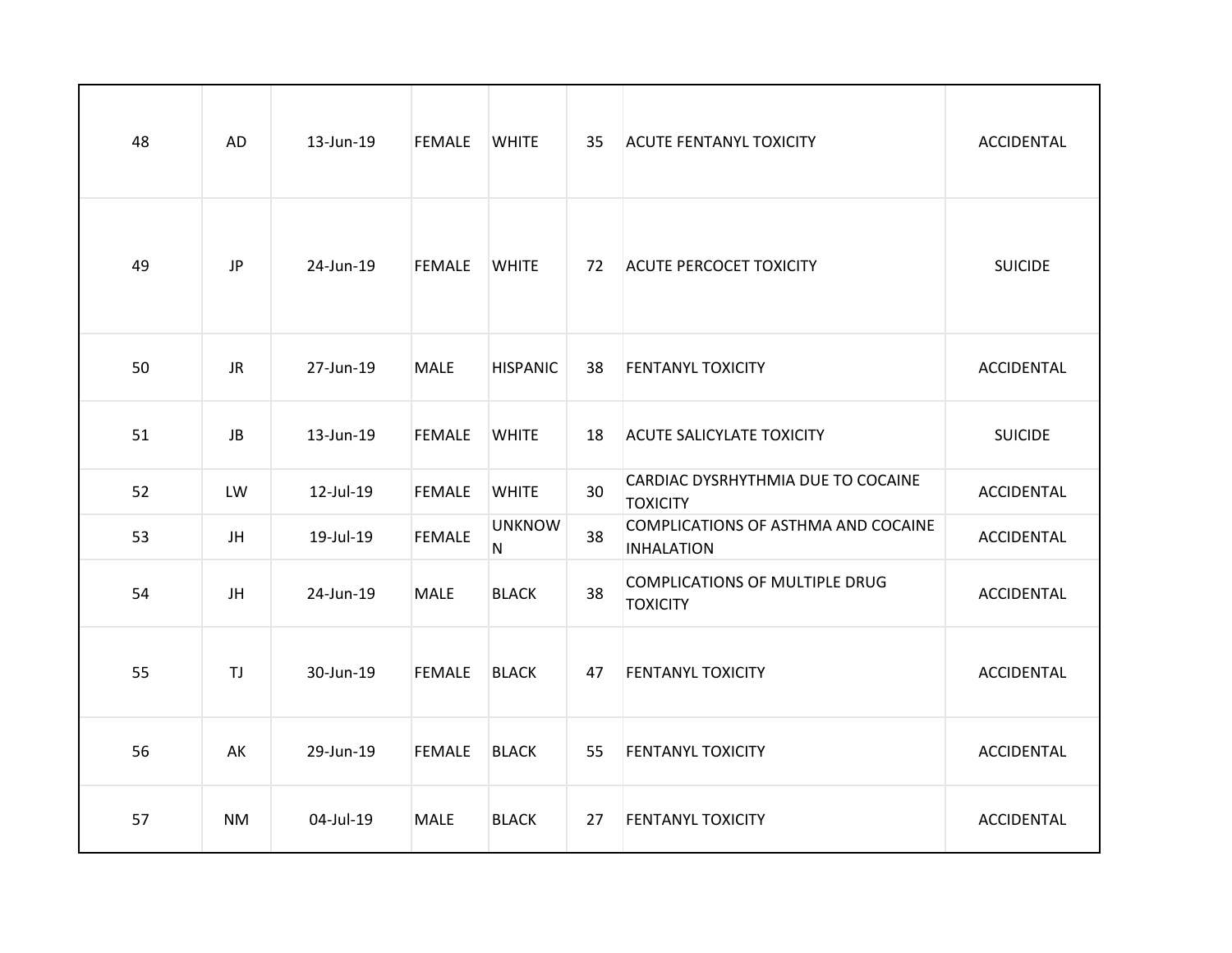| 48 | AD        | 13-Jun-19 | <b>FEMALE</b> | <b>WHITE</b>       | 35 | <b>ACUTE FENTANYL TOXICITY</b>                           | ACCIDENTAL        |
|----|-----------|-----------|---------------|--------------------|----|----------------------------------------------------------|-------------------|
| 49 | <b>JP</b> | 24-Jun-19 | <b>FEMALE</b> | <b>WHITE</b>       | 72 | <b>ACUTE PERCOCET TOXICITY</b>                           | <b>SUICIDE</b>    |
| 50 | <b>JR</b> | 27-Jun-19 | <b>MALE</b>   | <b>HISPANIC</b>    | 38 | <b>FENTANYL TOXICITY</b>                                 | <b>ACCIDENTAL</b> |
| 51 | JB        | 13-Jun-19 | <b>FEMALE</b> | <b>WHITE</b>       | 18 | <b>ACUTE SALICYLATE TOXICITY</b>                         | <b>SUICIDE</b>    |
| 52 | LW        | 12-Jul-19 | <b>FEMALE</b> | <b>WHITE</b>       | 30 | CARDIAC DYSRHYTHMIA DUE TO COCAINE<br><b>TOXICITY</b>    | <b>ACCIDENTAL</b> |
| 53 | JH        | 19-Jul-19 | <b>FEMALE</b> | <b>UNKNOW</b><br>N | 38 | COMPLICATIONS OF ASTHMA AND COCAINE<br><b>INHALATION</b> | ACCIDENTAL        |
| 54 | JH        | 24-Jun-19 | <b>MALE</b>   | <b>BLACK</b>       | 38 | COMPLICATIONS OF MULTIPLE DRUG<br><b>TOXICITY</b>        | ACCIDENTAL        |
| 55 | <b>TJ</b> | 30-Jun-19 | <b>FEMALE</b> | <b>BLACK</b>       | 47 | <b>FENTANYL TOXICITY</b>                                 | ACCIDENTAL        |
| 56 | AK        | 29-Jun-19 | <b>FEMALE</b> | <b>BLACK</b>       | 55 | <b>FENTANYL TOXICITY</b>                                 | <b>ACCIDENTAL</b> |
| 57 | <b>NM</b> | 04-Jul-19 | <b>MALE</b>   | <b>BLACK</b>       | 27 | <b>FENTANYL TOXICITY</b>                                 | <b>ACCIDENTAL</b> |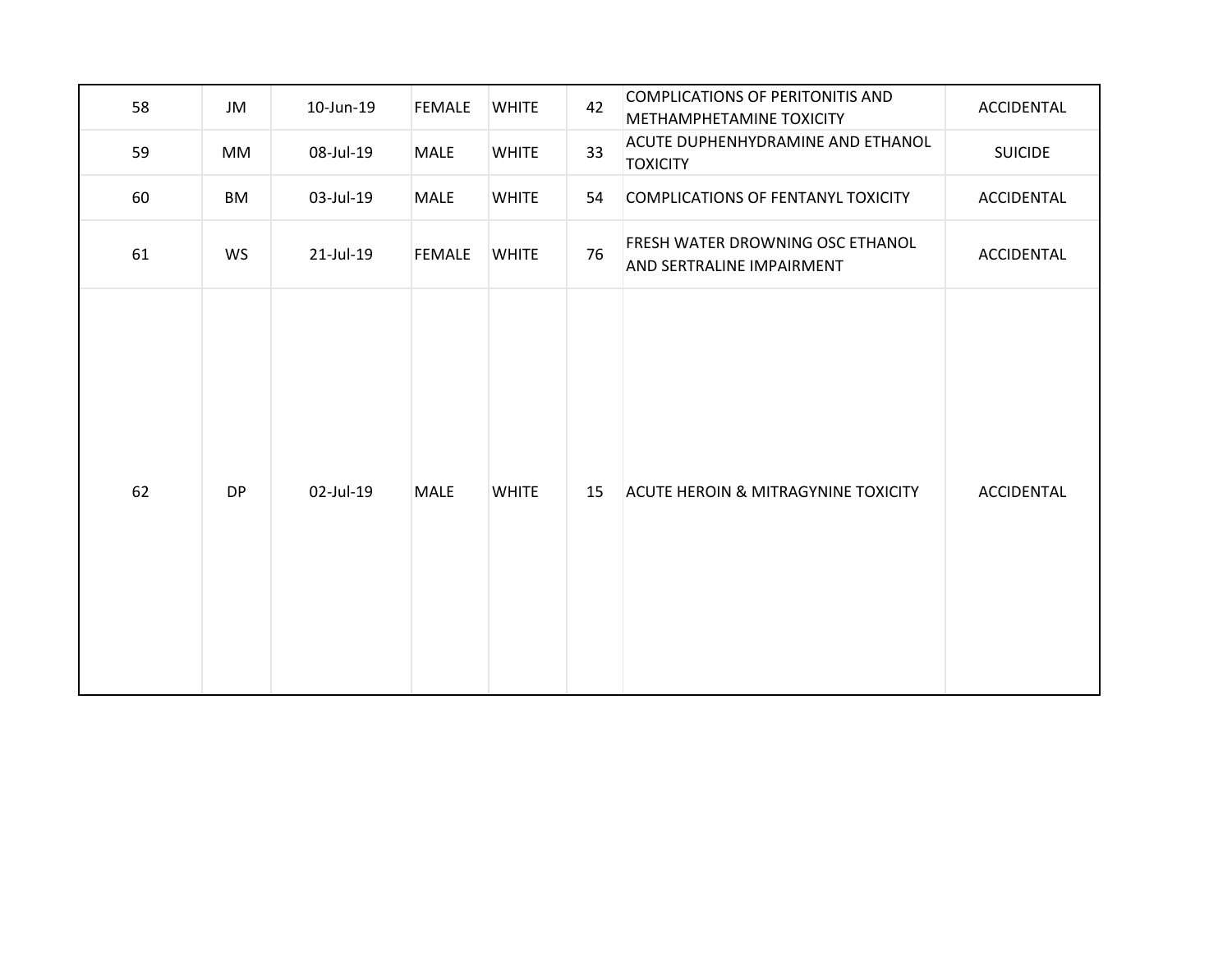| 58 | JM        | 10-Jun-19 | <b>FEMALE</b> | <b>WHITE</b> | 42 | COMPLICATIONS OF PERITONITIS AND<br>METHAMPHETAMINE TOXICITY  | ACCIDENTAL        |
|----|-----------|-----------|---------------|--------------|----|---------------------------------------------------------------|-------------------|
| 59 | MM        | 08-Jul-19 | MALE          | <b>WHITE</b> | 33 | ACUTE DUPHENHYDRAMINE AND ETHANOL<br><b>TOXICITY</b>          | <b>SUICIDE</b>    |
| 60 | <b>BM</b> | 03-Jul-19 | <b>MALE</b>   | <b>WHITE</b> | 54 | <b>COMPLICATIONS OF FENTANYL TOXICITY</b>                     | ACCIDENTAL        |
| 61 | WS        | 21-Jul-19 | <b>FEMALE</b> | <b>WHITE</b> | 76 | FRESH WATER DROWNING OSC ETHANOL<br>AND SERTRALINE IMPAIRMENT | <b>ACCIDENTAL</b> |
| 62 | <b>DP</b> | 02-Jul-19 | <b>MALE</b>   | <b>WHITE</b> | 15 | <b>ACUTE HEROIN &amp; MITRAGYNINE TOXICITY</b>                | ACCIDENTAL        |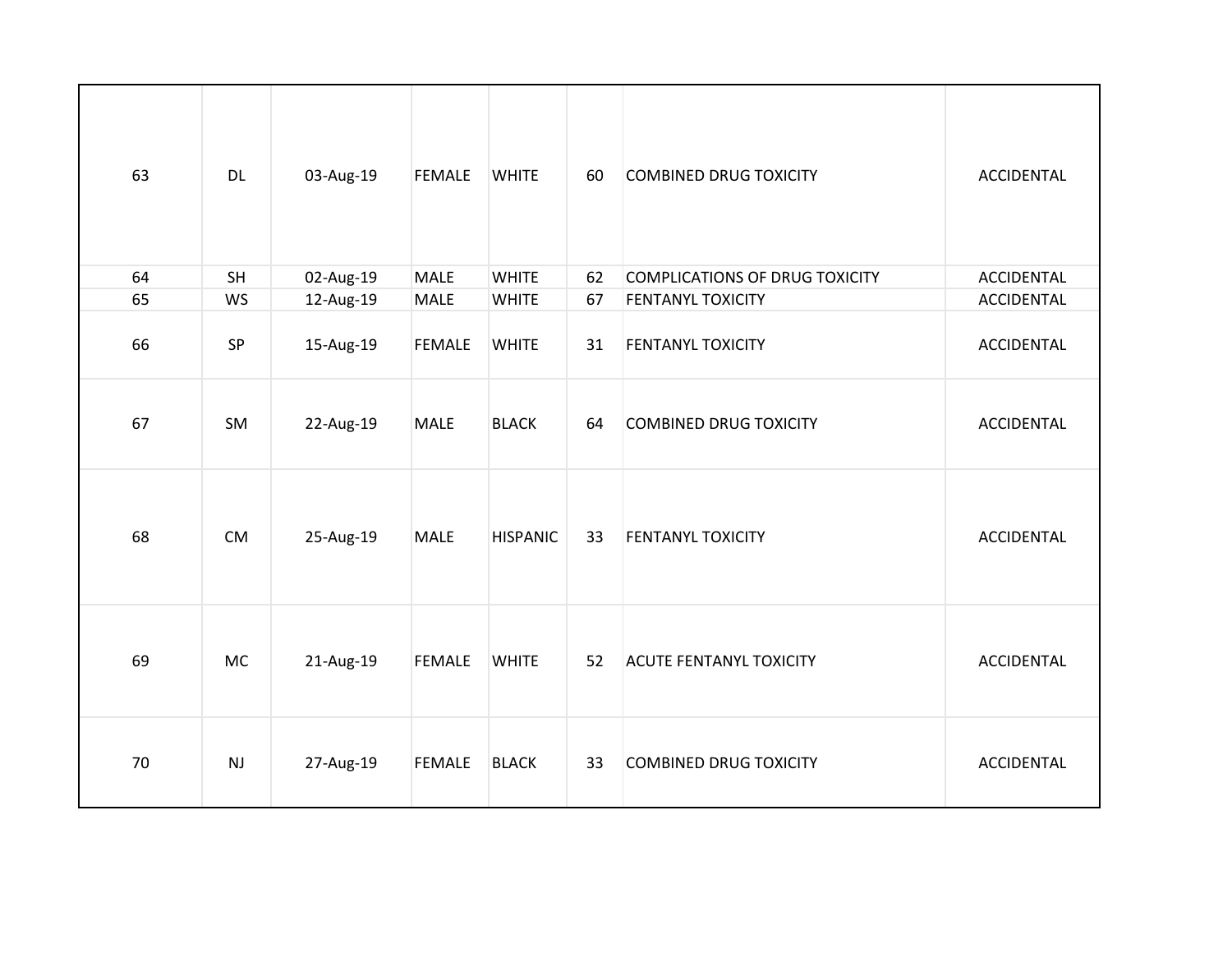| 63 | <b>DL</b> | 03-Aug-19 | <b>FEMALE</b> | <b>WHITE</b>    | 60 | <b>COMBINED DRUG TOXICITY</b>         | <b>ACCIDENTAL</b> |
|----|-----------|-----------|---------------|-----------------|----|---------------------------------------|-------------------|
| 64 | SH        | 02-Aug-19 | MALE          | <b>WHITE</b>    | 62 | <b>COMPLICATIONS OF DRUG TOXICITY</b> | <b>ACCIDENTAL</b> |
| 65 | <b>WS</b> | 12-Aug-19 | <b>MALE</b>   | <b>WHITE</b>    | 67 | FENTANYL TOXICITY                     | <b>ACCIDENTAL</b> |
| 66 | SP        | 15-Aug-19 | <b>FEMALE</b> | <b>WHITE</b>    | 31 | <b>FENTANYL TOXICITY</b>              | ACCIDENTAL        |
| 67 | SM        | 22-Aug-19 | <b>MALE</b>   | <b>BLACK</b>    | 64 | <b>COMBINED DRUG TOXICITY</b>         | <b>ACCIDENTAL</b> |
| 68 | CM        | 25-Aug-19 | <b>MALE</b>   | <b>HISPANIC</b> | 33 | <b>FENTANYL TOXICITY</b>              | <b>ACCIDENTAL</b> |
| 69 | <b>MC</b> | 21-Aug-19 | <b>FEMALE</b> | <b>WHITE</b>    | 52 | <b>ACUTE FENTANYL TOXICITY</b>        | <b>ACCIDENTAL</b> |
| 70 | NJ        | 27-Aug-19 | FEMALE        | <b>BLACK</b>    | 33 | <b>COMBINED DRUG TOXICITY</b>         | <b>ACCIDENTAL</b> |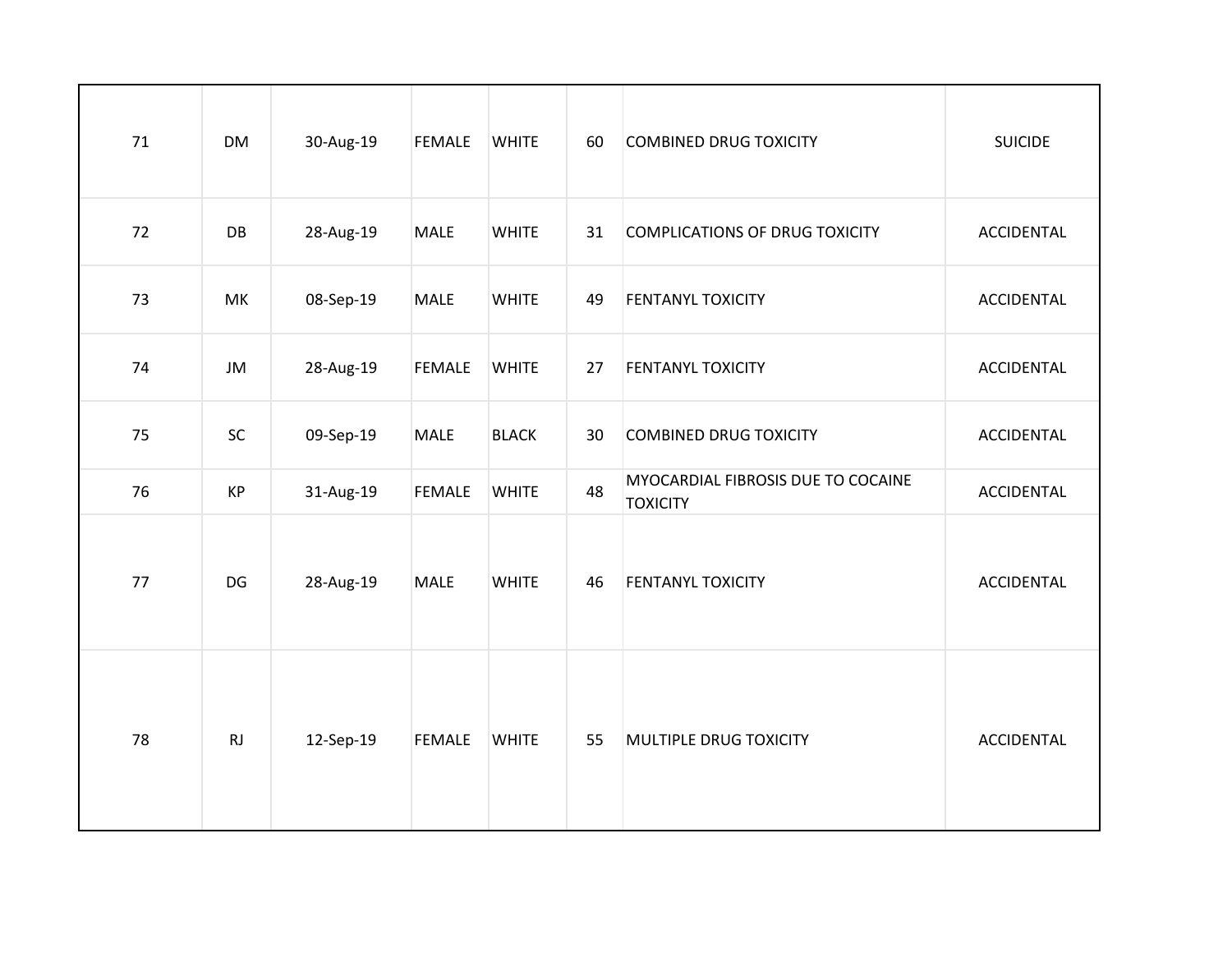| 71 | <b>DM</b> | 30-Aug-19 | <b>FEMALE</b> | <b>WHITE</b> | 60 | <b>COMBINED DRUG TOXICITY</b>                         | <b>SUICIDE</b>    |
|----|-----------|-----------|---------------|--------------|----|-------------------------------------------------------|-------------------|
| 72 | DB        | 28-Aug-19 | MALE          | <b>WHITE</b> | 31 | <b>COMPLICATIONS OF DRUG TOXICITY</b>                 | ACCIDENTAL        |
| 73 | MK        | 08-Sep-19 | <b>MALE</b>   | <b>WHITE</b> | 49 | <b>FENTANYL TOXICITY</b>                              | <b>ACCIDENTAL</b> |
| 74 | JM        | 28-Aug-19 | <b>FEMALE</b> | <b>WHITE</b> | 27 | <b>FENTANYL TOXICITY</b>                              | <b>ACCIDENTAL</b> |
| 75 | SC        | 09-Sep-19 | <b>MALE</b>   | <b>BLACK</b> | 30 | <b>COMBINED DRUG TOXICITY</b>                         | ACCIDENTAL        |
| 76 | <b>KP</b> | 31-Aug-19 | <b>FEMALE</b> | <b>WHITE</b> | 48 | MYOCARDIAL FIBROSIS DUE TO COCAINE<br><b>TOXICITY</b> | <b>ACCIDENTAL</b> |
| 77 | DG        | 28-Aug-19 | <b>MALE</b>   | <b>WHITE</b> | 46 | <b>FENTANYL TOXICITY</b>                              | <b>ACCIDENTAL</b> |
| 78 | RJ        | 12-Sep-19 | <b>FEMALE</b> | <b>WHITE</b> | 55 | MULTIPLE DRUG TOXICITY                                | <b>ACCIDENTAL</b> |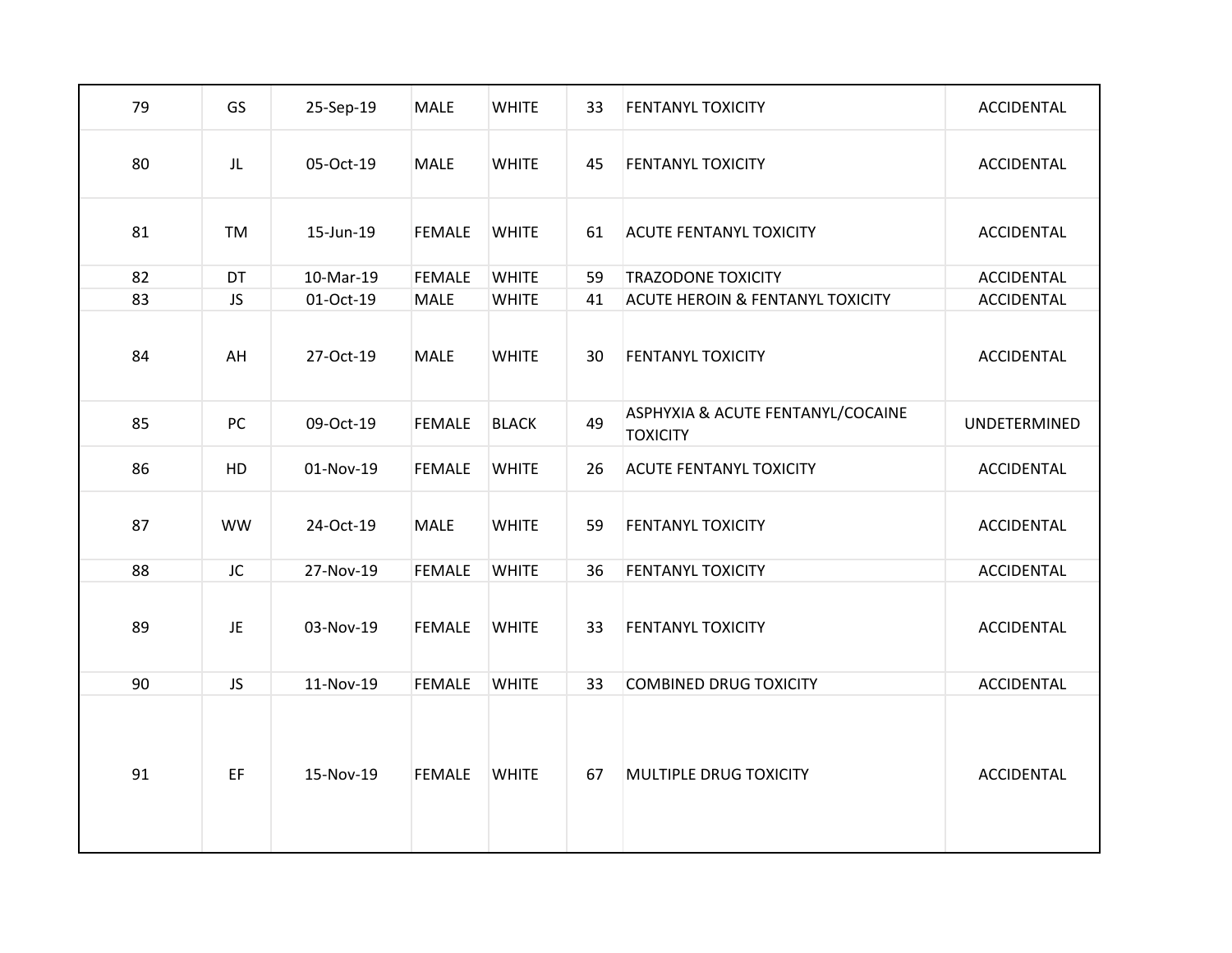| 79 | GS        | 25-Sep-19 | <b>MALE</b>   | <b>WHITE</b> | 33 | <b>FENTANYL TOXICITY</b>                             | ACCIDENTAL        |
|----|-----------|-----------|---------------|--------------|----|------------------------------------------------------|-------------------|
| 80 | JL        | 05-Oct-19 | <b>MALE</b>   | <b>WHITE</b> | 45 | <b>FENTANYL TOXICITY</b>                             | ACCIDENTAL        |
| 81 | TM        | 15-Jun-19 | <b>FEMALE</b> | <b>WHITE</b> | 61 | <b>ACUTE FENTANYL TOXICITY</b>                       | ACCIDENTAL        |
| 82 | DT        | 10-Mar-19 | <b>FEMALE</b> | <b>WHITE</b> | 59 | <b>TRAZODONE TOXICITY</b>                            | <b>ACCIDENTAL</b> |
| 83 | <b>JS</b> | 01-Oct-19 | <b>MALE</b>   | <b>WHITE</b> | 41 | <b>ACUTE HEROIN &amp; FENTANYL TOXICITY</b>          | <b>ACCIDENTAL</b> |
| 84 | AH        | 27-Oct-19 | <b>MALE</b>   | <b>WHITE</b> | 30 | <b>FENTANYL TOXICITY</b>                             | ACCIDENTAL        |
| 85 | PC        | 09-Oct-19 | <b>FEMALE</b> | <b>BLACK</b> | 49 | ASPHYXIA & ACUTE FENTANYL/COCAINE<br><b>TOXICITY</b> | UNDETERMINED      |
| 86 | HD        | 01-Nov-19 | <b>FEMALE</b> | <b>WHITE</b> | 26 | <b>ACUTE FENTANYL TOXICITY</b>                       | ACCIDENTAL        |
| 87 | <b>WW</b> | 24-Oct-19 | <b>MALE</b>   | <b>WHITE</b> | 59 | <b>FENTANYL TOXICITY</b>                             | <b>ACCIDENTAL</b> |
| 88 | JC        | 27-Nov-19 | <b>FEMALE</b> | <b>WHITE</b> | 36 | <b>FENTANYL TOXICITY</b>                             | <b>ACCIDENTAL</b> |
| 89 | JE        | 03-Nov-19 | <b>FEMALE</b> | <b>WHITE</b> | 33 | <b>FENTANYL TOXICITY</b>                             | ACCIDENTAL        |
| 90 | <b>JS</b> | 11-Nov-19 | <b>FEMALE</b> | <b>WHITE</b> | 33 | <b>COMBINED DRUG TOXICITY</b>                        | <b>ACCIDENTAL</b> |
| 91 | EF.       | 15-Nov-19 | <b>FEMALE</b> | <b>WHITE</b> | 67 | MULTIPLE DRUG TOXICITY                               | ACCIDENTAL        |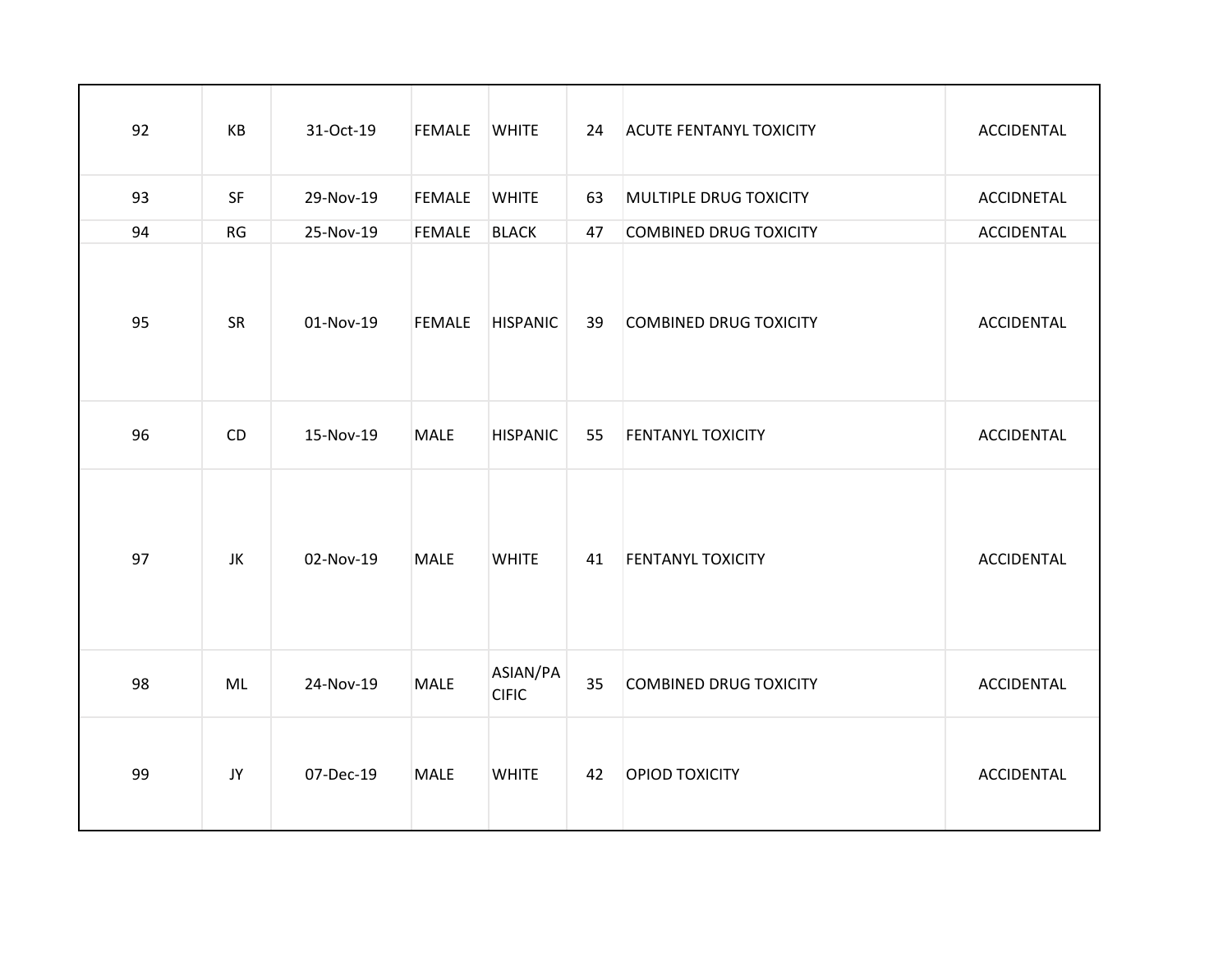| 92 | KB | 31-Oct-19 | <b>FEMALE</b> | <b>WHITE</b>             | 24 | <b>ACUTE FENTANYL TOXICITY</b> | ACCIDENTAL        |
|----|----|-----------|---------------|--------------------------|----|--------------------------------|-------------------|
| 93 | SF | 29-Nov-19 | <b>FEMALE</b> | <b>WHITE</b>             | 63 | MULTIPLE DRUG TOXICITY         | <b>ACCIDNETAL</b> |
| 94 | RG | 25-Nov-19 | <b>FEMALE</b> | <b>BLACK</b>             | 47 | <b>COMBINED DRUG TOXICITY</b>  | <b>ACCIDENTAL</b> |
| 95 | SR | 01-Nov-19 | <b>FEMALE</b> | <b>HISPANIC</b>          | 39 | <b>COMBINED DRUG TOXICITY</b>  | <b>ACCIDENTAL</b> |
| 96 | CD | 15-Nov-19 | <b>MALE</b>   | <b>HISPANIC</b>          | 55 | <b>FENTANYL TOXICITY</b>       | <b>ACCIDENTAL</b> |
| 97 | JK | 02-Nov-19 | <b>MALE</b>   | <b>WHITE</b>             | 41 | <b>FENTANYL TOXICITY</b>       | <b>ACCIDENTAL</b> |
| 98 | ML | 24-Nov-19 | <b>MALE</b>   | ASIAN/PA<br><b>CIFIC</b> | 35 | COMBINED DRUG TOXICITY         | <b>ACCIDENTAL</b> |
| 99 | JY | 07-Dec-19 | <b>MALE</b>   | <b>WHITE</b>             | 42 | <b>OPIOD TOXICITY</b>          | <b>ACCIDENTAL</b> |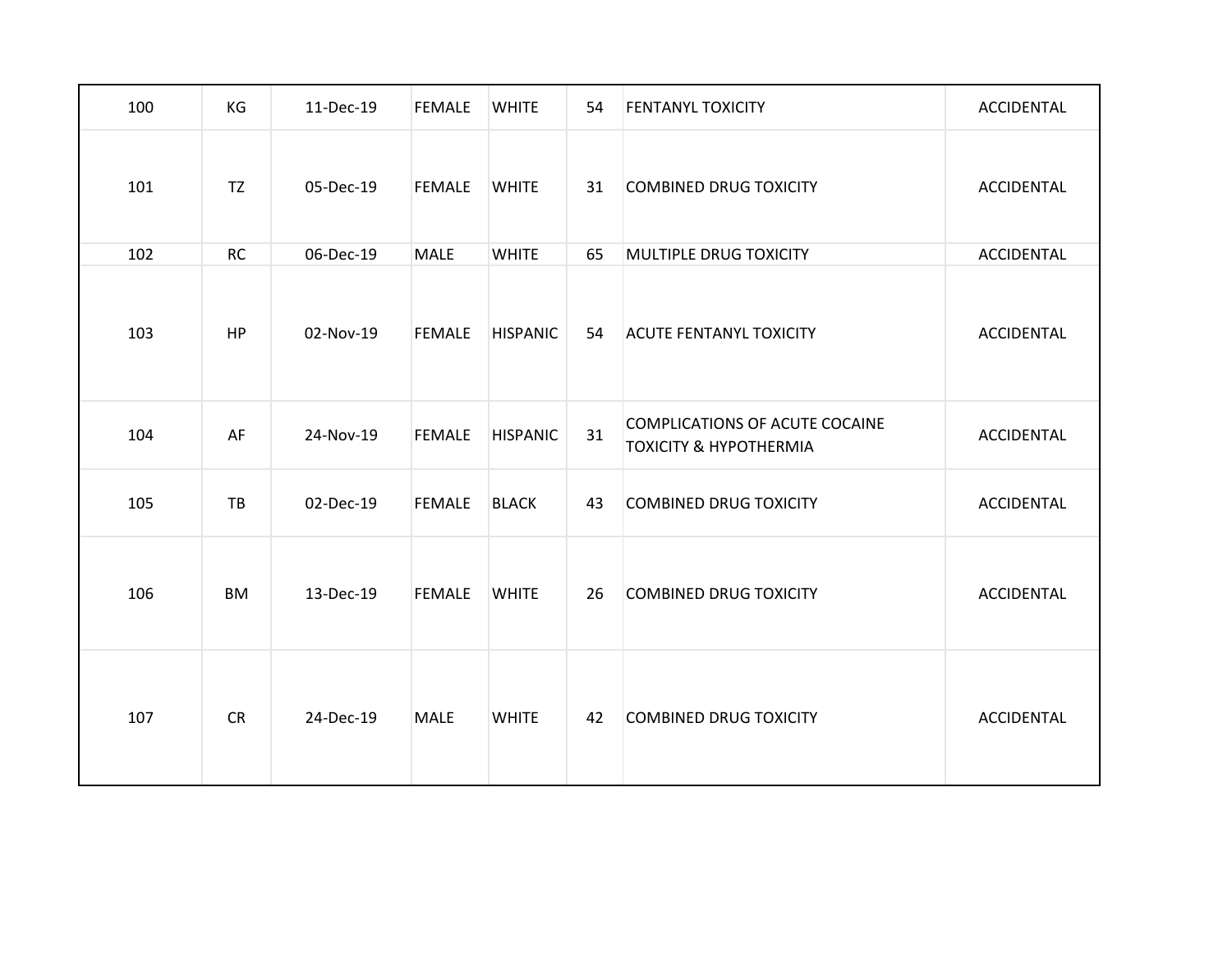| 100 | KG        | 11-Dec-19 | <b>FEMALE</b> | <b>WHITE</b>    | 54 | <b>FENTANYL TOXICITY</b>                                            | ACCIDENTAL        |
|-----|-----------|-----------|---------------|-----------------|----|---------------------------------------------------------------------|-------------------|
| 101 | <b>TZ</b> | 05-Dec-19 | <b>FEMALE</b> | <b>WHITE</b>    | 31 | <b>COMBINED DRUG TOXICITY</b>                                       | ACCIDENTAL        |
| 102 | <b>RC</b> | 06-Dec-19 | <b>MALE</b>   | <b>WHITE</b>    | 65 | MULTIPLE DRUG TOXICITY                                              | <b>ACCIDENTAL</b> |
| 103 | HP        | 02-Nov-19 | <b>FEMALE</b> | <b>HISPANIC</b> | 54 | <b>ACUTE FENTANYL TOXICITY</b>                                      | ACCIDENTAL        |
| 104 | AF        | 24-Nov-19 | <b>FEMALE</b> | <b>HISPANIC</b> | 31 | COMPLICATIONS OF ACUTE COCAINE<br><b>TOXICITY &amp; HYPOTHERMIA</b> | ACCIDENTAL        |
| 105 | TB        | 02-Dec-19 | <b>FEMALE</b> | <b>BLACK</b>    | 43 | <b>COMBINED DRUG TOXICITY</b>                                       | <b>ACCIDENTAL</b> |
| 106 | <b>BM</b> | 13-Dec-19 | <b>FEMALE</b> | <b>WHITE</b>    | 26 | <b>COMBINED DRUG TOXICITY</b>                                       | ACCIDENTAL        |
| 107 | <b>CR</b> | 24-Dec-19 | <b>MALE</b>   | <b>WHITE</b>    | 42 | <b>COMBINED DRUG TOXICITY</b>                                       | <b>ACCIDENTAL</b> |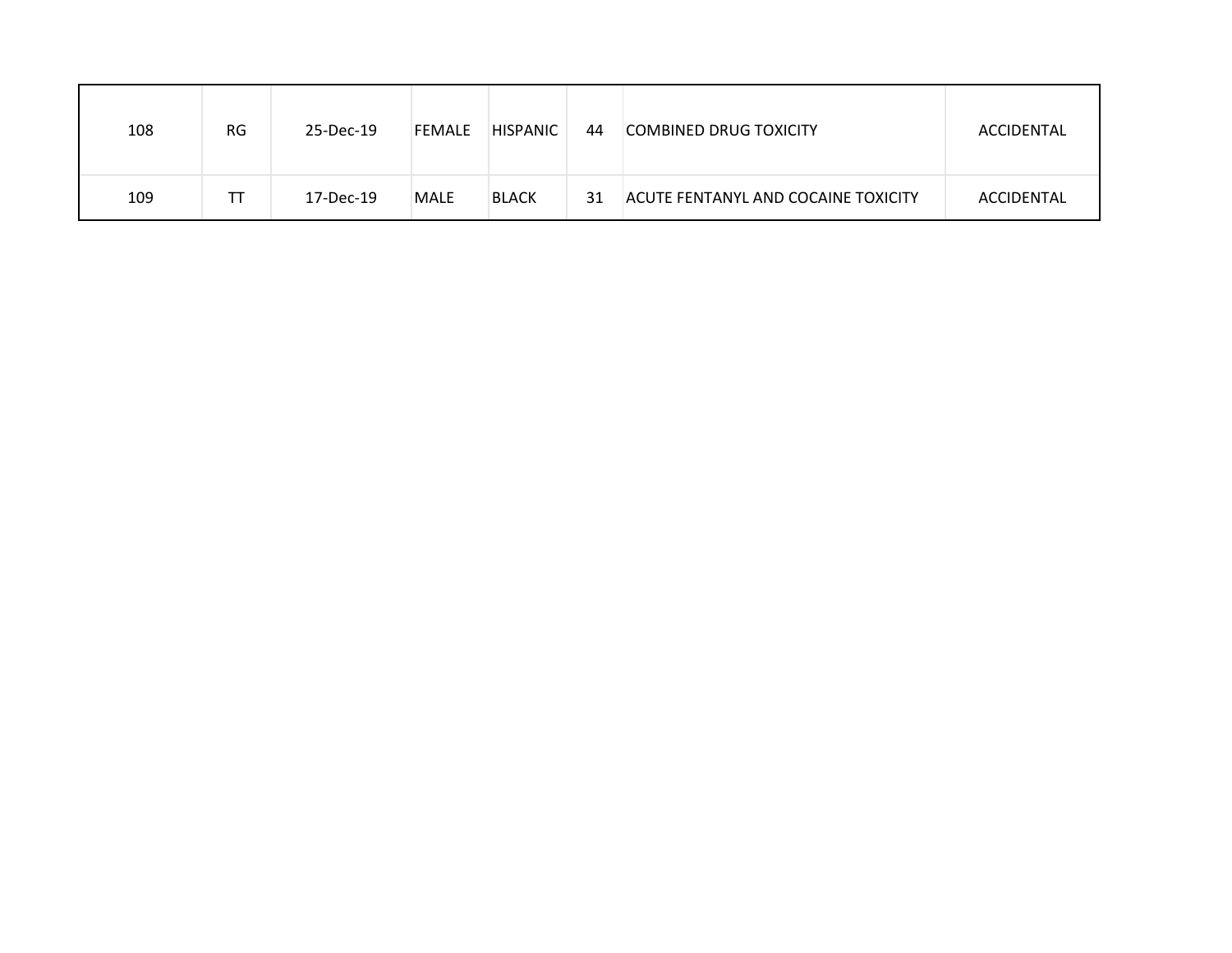| 108 | <b>RG</b> | 25-Dec-19 | <b>FEMALE</b> | <b>HISPANIC</b> | 44 | <b>COMBINED DRUG TOXICITY</b>              | ACCIDENTAL |
|-----|-----------|-----------|---------------|-----------------|----|--------------------------------------------|------------|
| 109 | ТT        | 17-Dec-19 | MALE          | <b>BLACK</b>    | 31 | <b>ACUTE FENTANYL AND COCAINE TOXICITY</b> | ACCIDENTAL |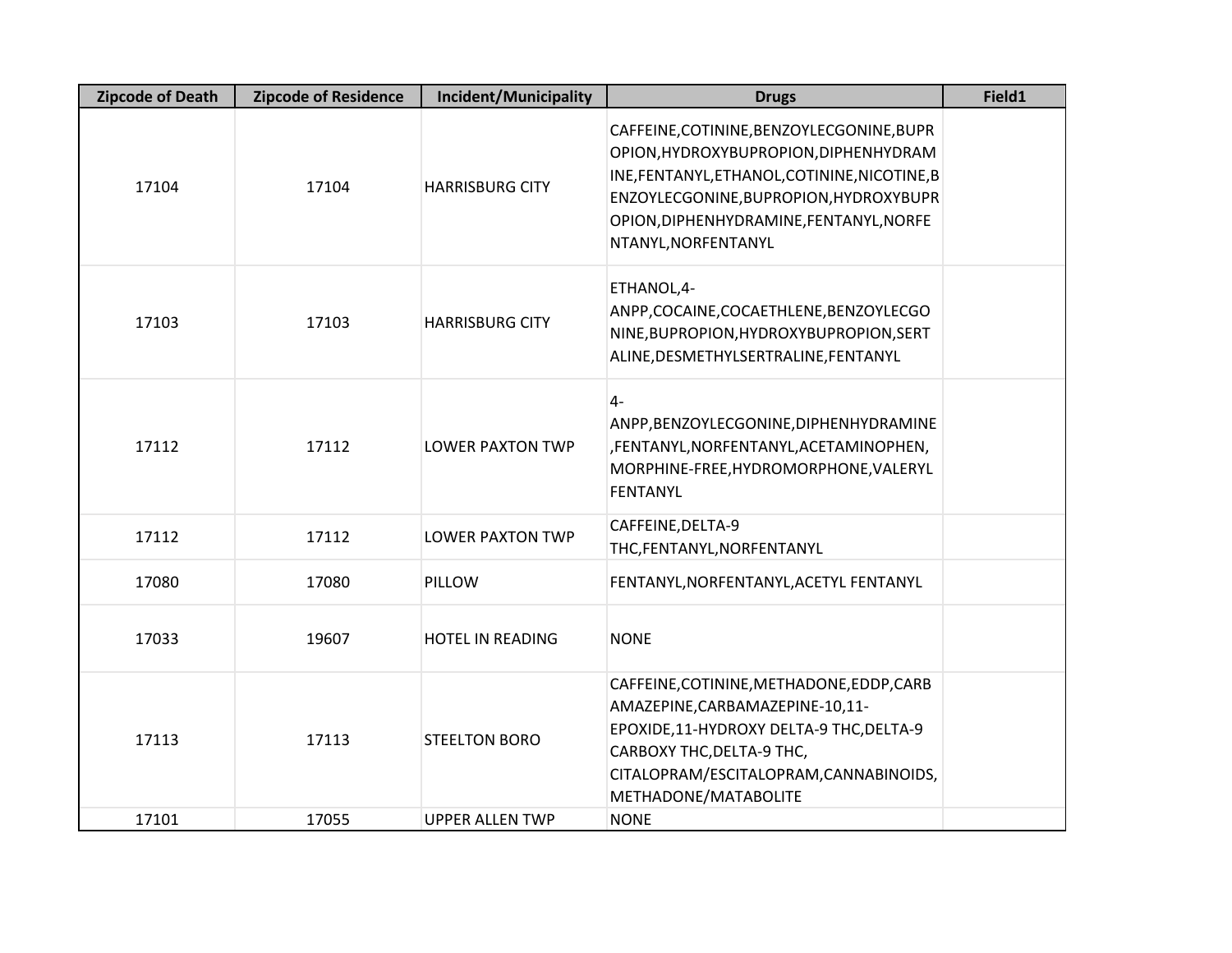| <b>Zipcode of Death</b> | <b>Zipcode of Residence</b> | Incident/Municipality   | <b>Drugs</b>                                                                                                                                                                                                                                    | Field1 |
|-------------------------|-----------------------------|-------------------------|-------------------------------------------------------------------------------------------------------------------------------------------------------------------------------------------------------------------------------------------------|--------|
| 17104                   | 17104                       | <b>HARRISBURG CITY</b>  | CAFFEINE, COTININE, BENZOYLECGONINE, BUPR<br>OPION, HYDROXYBUPROPION, DIPHENHYDRAM<br>INE, FENTANYL, ETHANOL, COTININE, NICOTINE, B<br>ENZOYLECGONINE, BUPROPION, HYDROXYBUPR<br>OPION, DIPHENHYDRAMINE, FENTANYL, NORFE<br>NTANYL, NORFENTANYL |        |
| 17103                   | 17103                       | <b>HARRISBURG CITY</b>  | ETHANOL, 4-<br>ANPP,COCAINE,COCAETHLENE,BENZOYLECGO<br>NINE, BUPROPION, HYDROXYBUPROPION, SERT<br>ALINE, DESMETHYLSERTRALINE, FENTANYL                                                                                                          |        |
| 17112                   | 17112                       | <b>LOWER PAXTON TWP</b> | $4-$<br>ANPP, BENZOYLECGONINE, DIPHENHYDRAMINE<br>,FENTANYL, NORFENTANYL, ACETAMINOPHEN,<br>MORPHINE-FREE, HYDROMORPHONE, VALERYL<br><b>FENTANYL</b>                                                                                            |        |
| 17112                   | 17112                       | <b>LOWER PAXTON TWP</b> | CAFFEINE, DELTA-9<br>THC, FENTANYL, NORFENTANYL                                                                                                                                                                                                 |        |
| 17080                   | 17080                       | PILLOW                  | FENTANYL, NORFENTANYL, ACETYL FENTANYL                                                                                                                                                                                                          |        |
| 17033                   | 19607                       | HOTEL IN READING        | <b>NONE</b>                                                                                                                                                                                                                                     |        |
| 17113                   | 17113                       | <b>STEELTON BORO</b>    | CAFFEINE, COTININE, METHADONE, EDDP, CARB<br>AMAZEPINE, CARBAMAZEPINE-10, 11-<br>EPOXIDE, 11-HYDROXY DELTA-9 THC, DELTA-9<br>CARBOXY THC, DELTA-9 THC,<br>CITALOPRAM/ESCITALOPRAM, CANNABINOIDS,<br>METHADONE/MATABOLITE                        |        |
| 17101                   | 17055                       | <b>UPPER ALLEN TWP</b>  | <b>NONE</b>                                                                                                                                                                                                                                     |        |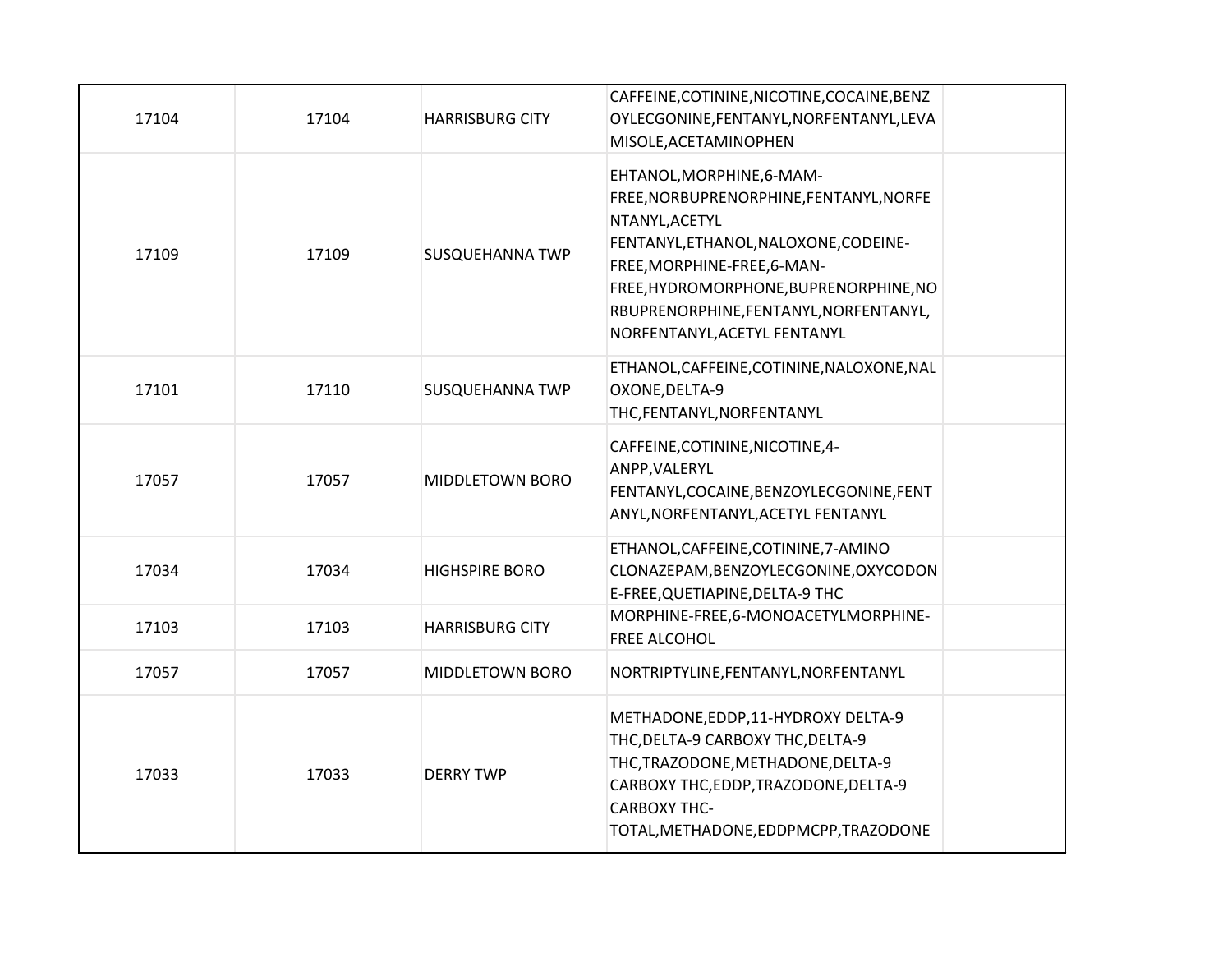| 17104 | 17104 | <b>HARRISBURG CITY</b> | CAFFEINE, COTININE, NICOTINE, COCAINE, BENZ<br>OYLECGONINE, FENTANYL, NORFENTANYL, LEVA<br>MISOLE, ACETAMINOPHEN                                                                                                                                                                   |
|-------|-------|------------------------|------------------------------------------------------------------------------------------------------------------------------------------------------------------------------------------------------------------------------------------------------------------------------------|
| 17109 | 17109 | <b>SUSQUEHANNA TWP</b> | EHTANOL, MORPHINE, 6-MAM-<br>FREE, NORBUPRENORPHINE, FENTANYL, NORFE<br>NTANYL, ACETYL<br>FENTANYL, ETHANOL, NALOXONE, CODEINE-<br>FREE, MORPHINE-FREE, 6-MAN-<br>FREE, HYDROMORPHONE, BUPRENORPHINE, NO<br>RBUPRENORPHINE, FENTANYL, NORFENTANYL,<br>NORFENTANYL, ACETYL FENTANYL |
| 17101 | 17110 | <b>SUSQUEHANNA TWP</b> | ETHANOL, CAFFEINE, COTININE, NALOXONE, NAL<br>OXONE, DELTA-9<br>THC, FENTANYL, NORFENTANYL                                                                                                                                                                                         |
| 17057 | 17057 | MIDDLETOWN BORO        | CAFFEINE, COTININE, NICOTINE, 4-<br>ANPP, VALERYL<br>FENTANYL, COCAINE, BENZOYLECGONINE, FENT<br>ANYL, NORFENTANYL, ACETYL FENTANYL                                                                                                                                                |
| 17034 | 17034 | <b>HIGHSPIRE BORO</b>  | ETHANOL, CAFFEINE, COTININE, 7-AMINO<br>CLONAZEPAM, BENZOYLECGONINE, OXYCODON<br>E-FREE, QUETIAPINE, DELTA-9 THC                                                                                                                                                                   |
| 17103 | 17103 | <b>HARRISBURG CITY</b> | MORPHINE-FREE,6-MONOACETYLMORPHINE-<br>FREE ALCOHOL                                                                                                                                                                                                                                |
| 17057 | 17057 | MIDDLETOWN BORO        | NORTRIPTYLINE, FENTANYL, NORFENTANYL                                                                                                                                                                                                                                               |
| 17033 | 17033 | <b>DERRY TWP</b>       | METHADONE, EDDP, 11-HYDROXY DELTA-9<br>THC, DELTA-9 CARBOXY THC, DELTA-9<br>THC, TRAZODONE, METHADONE, DELTA-9<br>CARBOXY THC, EDDP, TRAZODONE, DELTA-9<br><b>CARBOXY THC-</b><br>TOTAL, METHADONE, EDDPMCPP, TRAZODONE                                                            |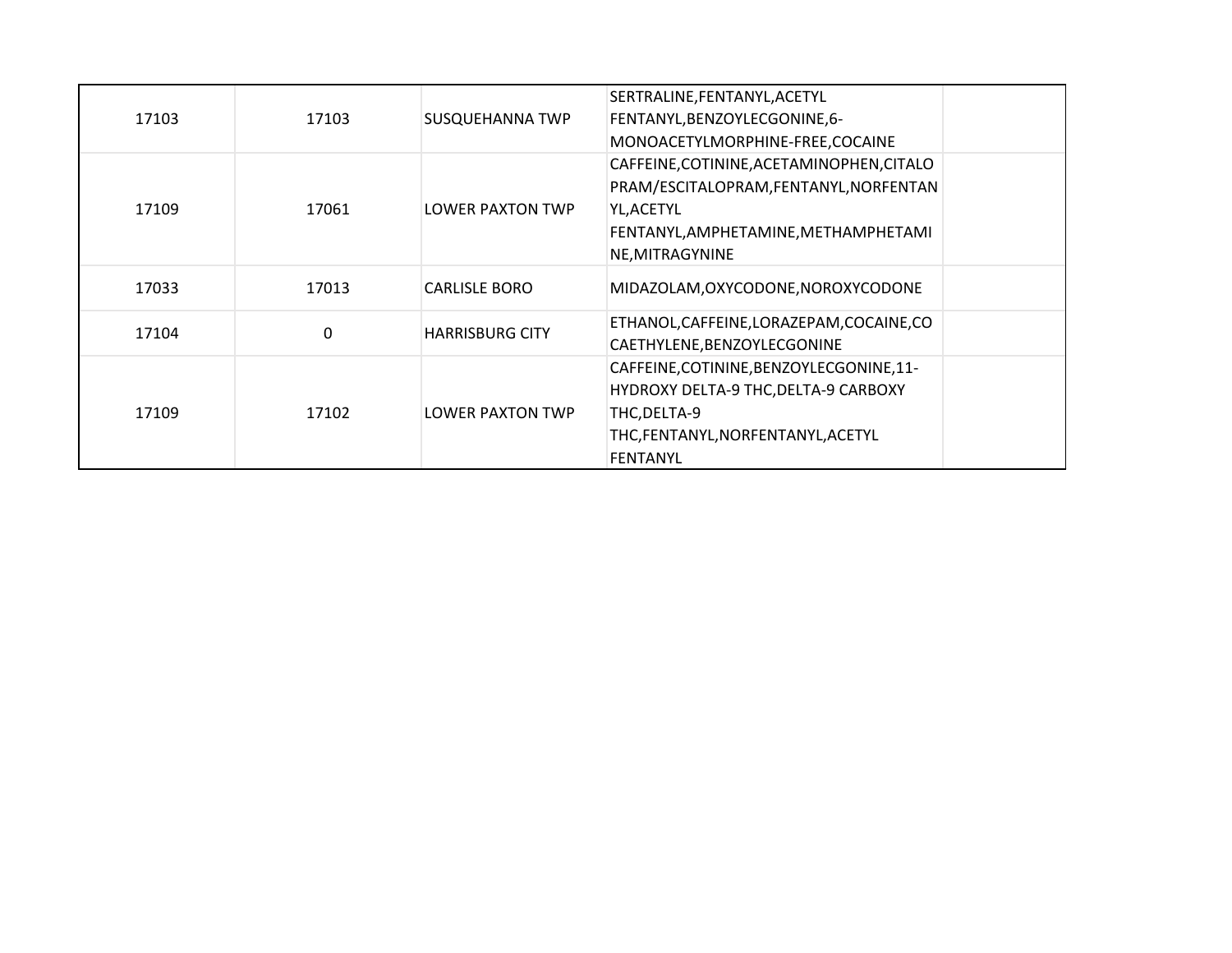| 17103 | 17103 | SUSQUEHANNA TWP         | SERTRALINE, FENTANYL, ACETYL<br>FENTANYL, BENZOYLECGONINE, 6-<br>MONOACETYLMORPHINE-FREE, COCAINE                                                            |
|-------|-------|-------------------------|--------------------------------------------------------------------------------------------------------------------------------------------------------------|
| 17109 | 17061 | <b>LOWER PAXTON TWP</b> | CAFFEINE, COTININE, ACETAMINOPHEN, CITALO<br>PRAM/ESCITALOPRAM, FENTANYL, NORFENTAN<br>YL, ACETYL<br>FENTANYL, AMPHETAMINE, METHAMPHETAMI<br>NE, MITRAGYNINE |
| 17033 | 17013 | <b>CARLISLE BORO</b>    | MIDAZOLAM, OXYCODONE, NOROXYCODONE                                                                                                                           |
| 17104 | 0     | <b>HARRISBURG CITY</b>  | ETHANOL, CAFFEINE, LORAZEPAM, COCAINE, CO<br>CAETHYLENE, BENZOYLECGONINE                                                                                     |
| 17109 | 17102 | <b>LOWER PAXTON TWP</b> | CAFFEINE, COTININE, BENZOYLECGONINE, 11-<br>HYDROXY DELTA-9 THC, DELTA-9 CARBOXY<br>THC, DELTA-9<br>THC,FENTANYL,NORFENTANYL,ACETYL<br><b>FENTANYL</b>       |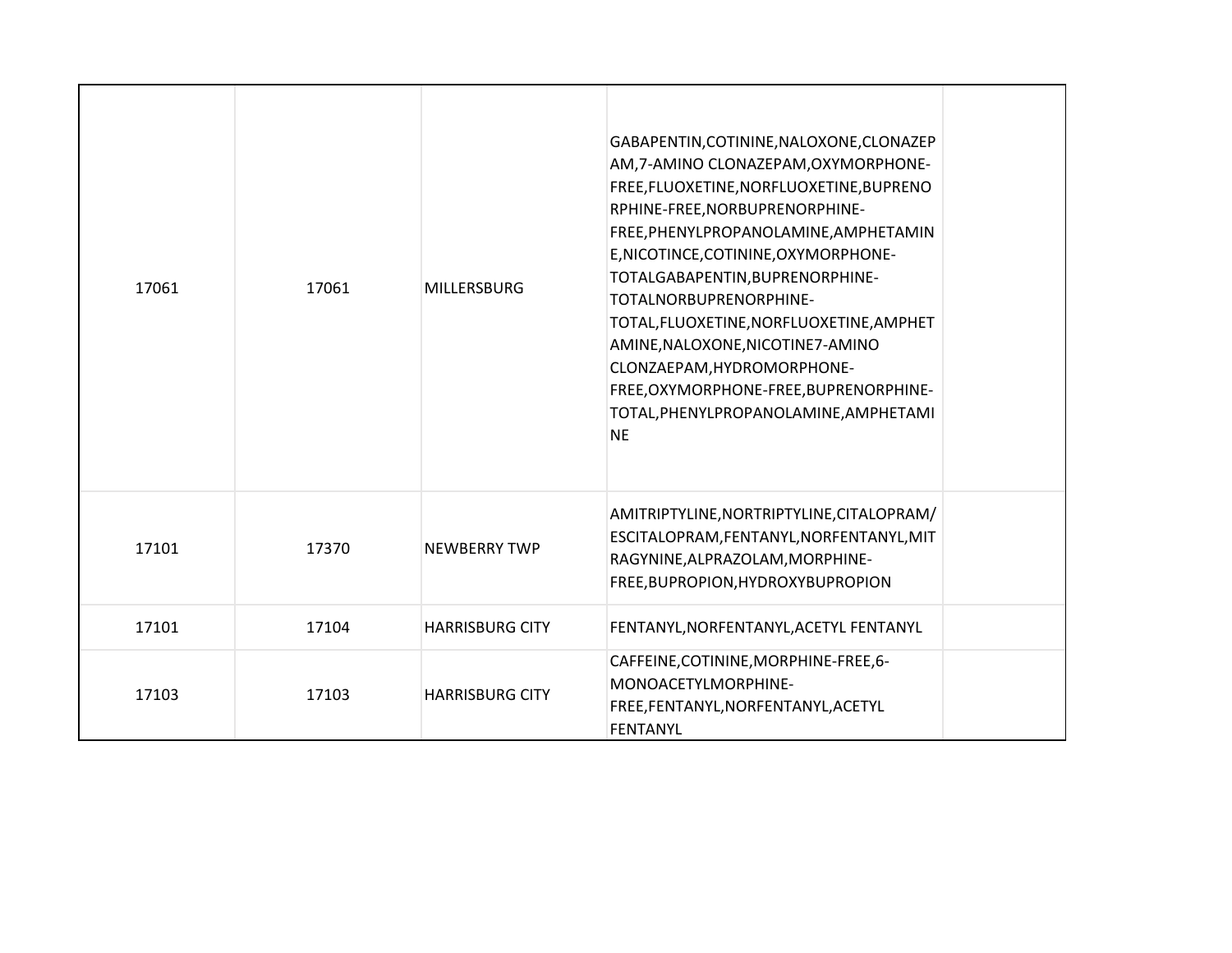| 17061 | 17061 | <b>MILLERSBURG</b>     | GABAPENTIN, COTININE, NALOXONE, CLONAZEP<br>AM, 7-AMINO CLONAZEPAM, OXYMORPHONE-<br>FREE, FLUOXETINE, NORFLUOXETINE, BUPRENO<br>RPHINE-FREE, NORBUPRENORPHINE-<br>FREE, PHENYLPROPANOLAMINE, AMPHETAMIN<br>E, NICOTINCE, COTININE, OXYMORPHONE-<br>TOTALGABAPENTIN, BUPRENORPHINE-<br>TOTALNORBUPRENORPHINE-<br>TOTAL, FLUOXETINE, NORFLUOXETINE, AMPHET<br>AMINE, NALOXONE, NICOTINE7-AMINO<br>CLONZAEPAM, HYDROMORPHONE-<br>FREE, OXYMORPHONE-FREE, BUPRENORPHINE-<br>TOTAL, PHENYLPROPANOLAMINE, AMPHETAMI<br><b>NE</b> |  |
|-------|-------|------------------------|----------------------------------------------------------------------------------------------------------------------------------------------------------------------------------------------------------------------------------------------------------------------------------------------------------------------------------------------------------------------------------------------------------------------------------------------------------------------------------------------------------------------------|--|
| 17101 | 17370 | <b>NEWBERRY TWP</b>    | AMITRIPTYLINE, NORTRIPTYLINE, CITALOPRAM/<br>ESCITALOPRAM, FENTANYL, NORFENTANYL, MIT<br>RAGYNINE, ALPRAZOLAM, MORPHINE-<br>FREE, BUPROPION, HYDROXYBUPROPION                                                                                                                                                                                                                                                                                                                                                              |  |
| 17101 | 17104 | <b>HARRISBURG CITY</b> | FENTANYL, NORFENTANYL, ACETYL FENTANYL                                                                                                                                                                                                                                                                                                                                                                                                                                                                                     |  |
| 17103 | 17103 | <b>HARRISBURG CITY</b> | CAFFEINE, COTININE, MORPHINE-FREE, 6-<br>MONOACETYLMORPHINE-<br>FREE,FENTANYL,NORFENTANYL,ACETYL<br><b>FENTANYL</b>                                                                                                                                                                                                                                                                                                                                                                                                        |  |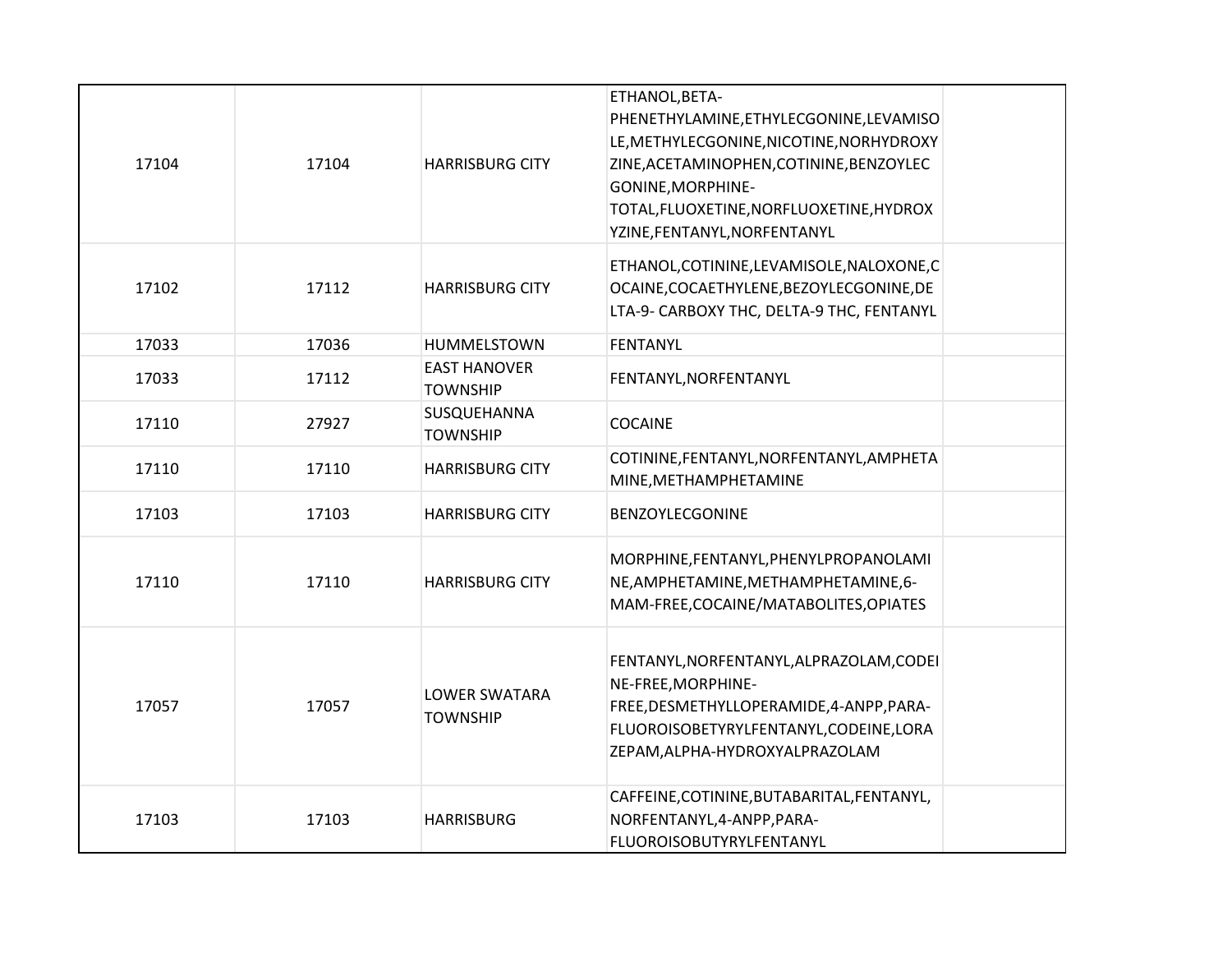| 17104 | 17104 | <b>HARRISBURG CITY</b>                  | ETHANOL, BETA-<br>PHENETHYLAMINE, ETHYLECGONINE, LEVAMISO<br>LE, METHYLECGONINE, NICOTINE, NORHYDROXY<br>ZINE, ACETAMINOPHEN, COTININE, BENZOYLEC<br>GONINE, MORPHINE-<br>TOTAL, FLUOXETINE, NORFLUOXETINE, HYDROX<br>YZINE, FENTANYL, NORFENTANYL |  |
|-------|-------|-----------------------------------------|----------------------------------------------------------------------------------------------------------------------------------------------------------------------------------------------------------------------------------------------------|--|
| 17102 | 17112 | <b>HARRISBURG CITY</b>                  | ETHANOL, COTININE, LEVAMISOLE, NALOXONE, C<br>OCAINE, COCAETHYLENE, BEZOYLECGONINE, DE<br>LTA-9- CARBOXY THC, DELTA-9 THC, FENTANYL                                                                                                                |  |
| 17033 | 17036 | HUMMELSTOWN                             | FENTANYL                                                                                                                                                                                                                                           |  |
| 17033 | 17112 | <b>EAST HANOVER</b><br><b>TOWNSHIP</b>  | FENTANYL, NORFENTANYL                                                                                                                                                                                                                              |  |
| 17110 | 27927 | SUSQUEHANNA<br><b>TOWNSHIP</b>          | <b>COCAINE</b>                                                                                                                                                                                                                                     |  |
| 17110 | 17110 | <b>HARRISBURG CITY</b>                  | COTININE, FENTANYL, NORFENTANYL, AMPHETA<br>MINE, METHAMPHETAMINE                                                                                                                                                                                  |  |
| 17103 | 17103 | <b>HARRISBURG CITY</b>                  | BENZOYLECGONINE                                                                                                                                                                                                                                    |  |
| 17110 | 17110 | <b>HARRISBURG CITY</b>                  | MORPHINE, FENTANYL, PHENYLPROPANOLAMI<br>NE, AMPHETAMINE, METHAMPHETAMINE, 6-<br>MAM-FREE, COCAINE/MATABOLITES, OPIATES                                                                                                                            |  |
| 17057 | 17057 | <b>LOWER SWATARA</b><br><b>TOWNSHIP</b> | FENTANYL, NORFENTANYL, ALPRAZOLAM, CODEI<br>NE-FREE, MORPHINE-<br>FREE, DESMETHYLLOPERAMIDE, 4-ANPP, PARA-<br>FLUOROISOBETYRYLFENTANYL, CODEINE, LORA<br>ZEPAM, ALPHA-HYDROXYALPRAZOLAM                                                            |  |
| 17103 | 17103 | <b>HARRISBURG</b>                       | CAFFEINE, COTININE, BUTABARITAL, FENTANYL,<br>NORFENTANYL, 4-ANPP, PARA-<br>FLUOROISOBUTYRYLFENTANYL                                                                                                                                               |  |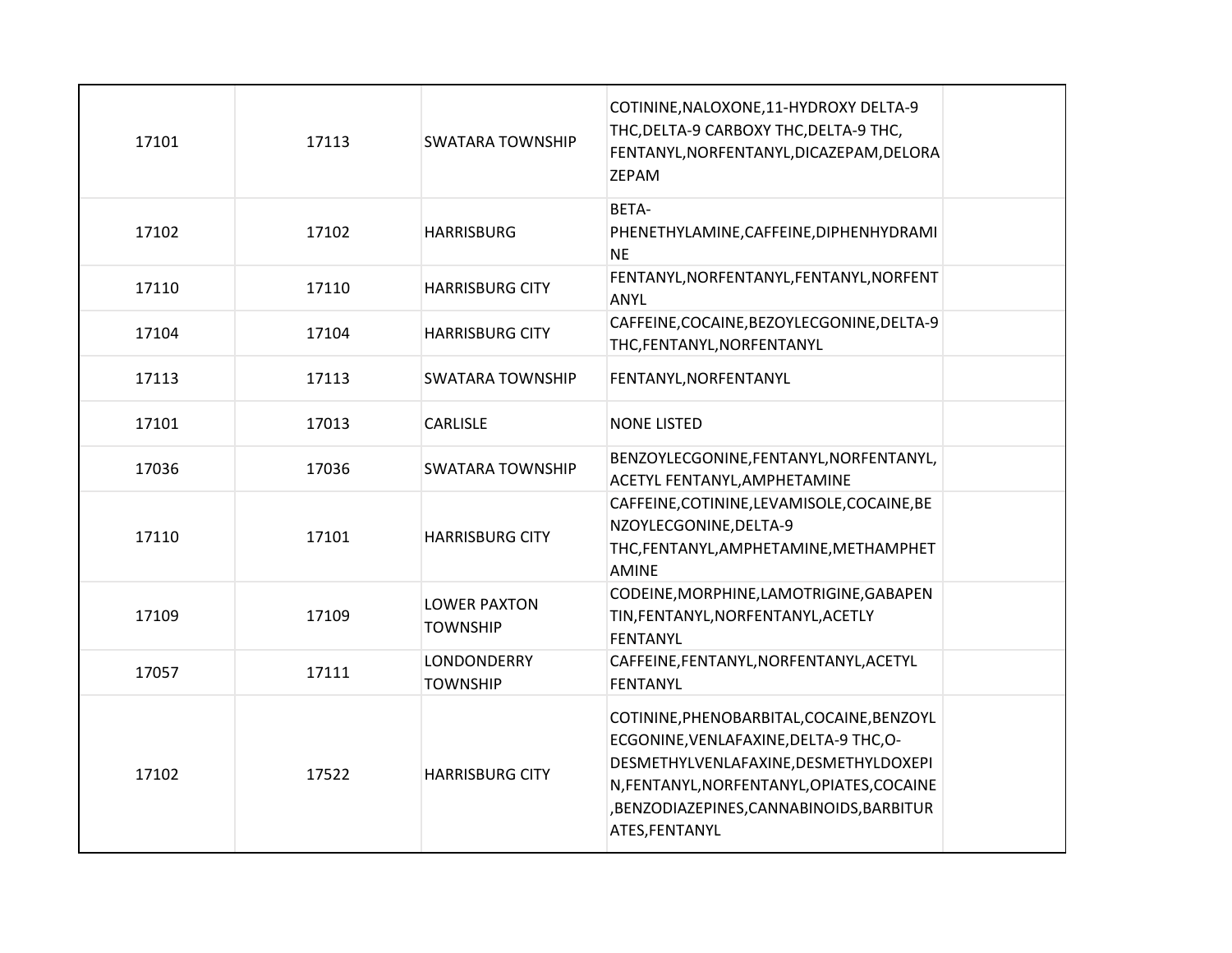| 17101 | 17113 | <b>SWATARA TOWNSHIP</b>                | COTININE, NALOXONE, 11-HYDROXY DELTA-9<br>THC, DELTA-9 CARBOXY THC, DELTA-9 THC,<br>FENTANYL, NORFENTANYL, DICAZEPAM, DELORA<br>ZEPAM                                                                                                  |  |
|-------|-------|----------------------------------------|----------------------------------------------------------------------------------------------------------------------------------------------------------------------------------------------------------------------------------------|--|
| 17102 | 17102 | <b>HARRISBURG</b>                      | BETA-<br>PHENETHYLAMINE, CAFFEINE, DIPHENHYDRAMI<br><b>NE</b>                                                                                                                                                                          |  |
| 17110 | 17110 | <b>HARRISBURG CITY</b>                 | FENTANYL, NORFENTANYL, FENTANYL, NORFENT<br>ANYL                                                                                                                                                                                       |  |
| 17104 | 17104 | <b>HARRISBURG CITY</b>                 | CAFFEINE, COCAINE, BEZOYLECGONINE, DELTA-9<br>THC, FENTANYL, NORFENTANYL                                                                                                                                                               |  |
| 17113 | 17113 | <b>SWATARA TOWNSHIP</b>                | FENTANYL, NORFENTANYL                                                                                                                                                                                                                  |  |
| 17101 | 17013 | CARLISLE                               | <b>NONE LISTED</b>                                                                                                                                                                                                                     |  |
| 17036 | 17036 | <b>SWATARA TOWNSHIP</b>                | BENZOYLECGONINE, FENTANYL, NORFENTANYL,<br>ACETYL FENTANYL, AMPHETAMINE                                                                                                                                                                |  |
| 17110 | 17101 | <b>HARRISBURG CITY</b>                 | CAFFEINE, COTININE, LEVAMISOLE, COCAINE, BE<br>NZOYLECGONINE, DELTA-9<br>THC, FENTANYL, AMPHETAMINE, METHAMPHET<br><b>AMINE</b>                                                                                                        |  |
| 17109 | 17109 | <b>LOWER PAXTON</b><br><b>TOWNSHIP</b> | CODEINE, MORPHINE, LAMOTRIGINE, GABAPEN<br>TIN, FENTANYL, NORFENTANYL, ACETLY<br><b>FENTANYL</b>                                                                                                                                       |  |
| 17057 | 17111 | LONDONDERRY<br><b>TOWNSHIP</b>         | CAFFEINE, FENTANYL, NORFENTANYL, ACETYL<br><b>FENTANYL</b>                                                                                                                                                                             |  |
| 17102 | 17522 | <b>HARRISBURG CITY</b>                 | COTININE, PHENOBARBITAL, COCAINE, BENZOYL<br>ECGONINE, VENLAFAXINE, DELTA-9 THC, O-<br>DESMETHYLVENLAFAXINE, DESMETHYLDOXEPI<br>N, FENTANYL, NORFENTANYL, OPIATES, COCAINE<br>,BENZODIAZEPINES,CANNABINOIDS,BARBITUR<br>ATES, FENTANYL |  |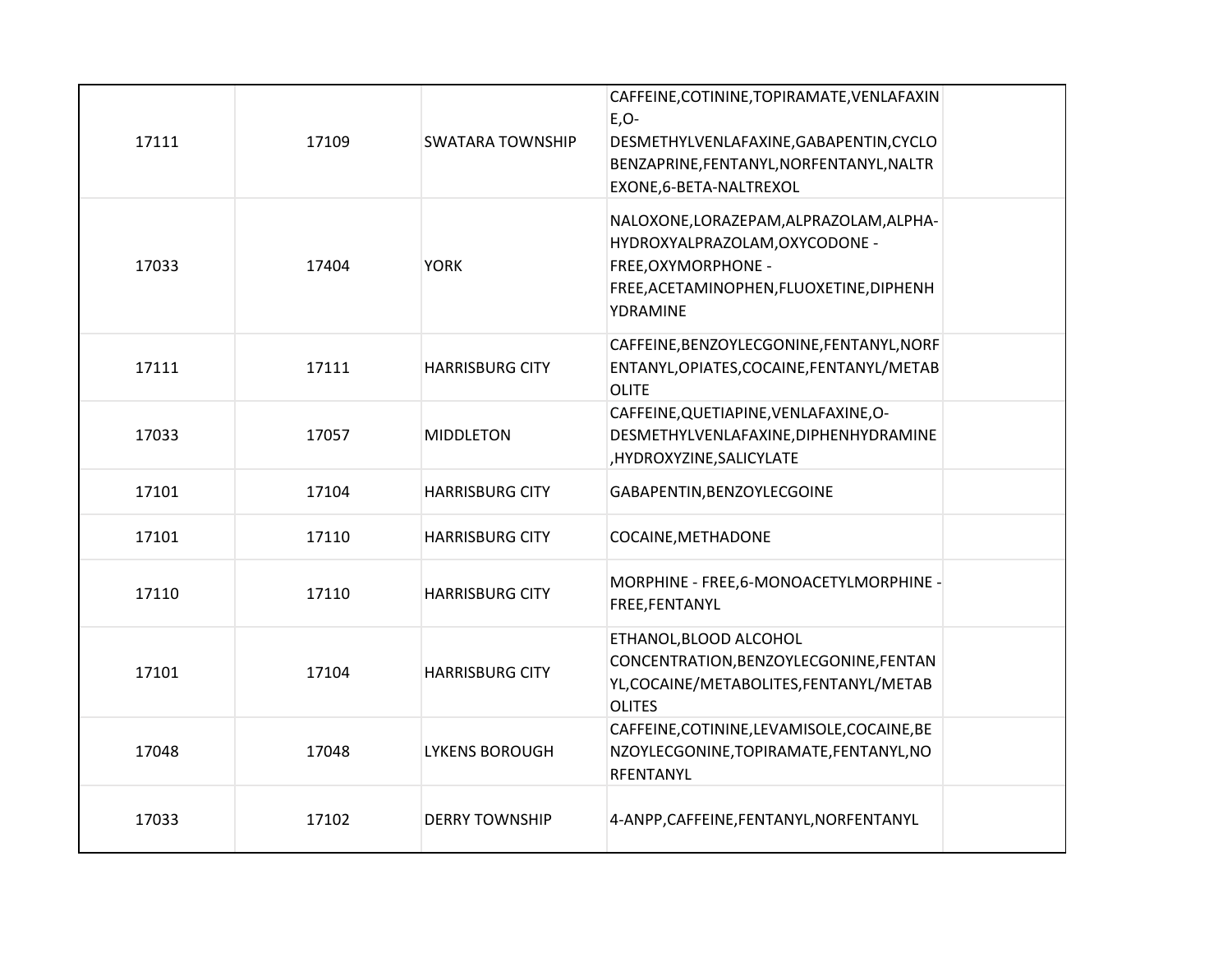| 17111 | 17109 | <b>SWATARA TOWNSHIP</b> | CAFFEINE, COTININE, TOPIRAMATE, VENLAFAXIN<br>$E, O-$<br>DESMETHYLVENLAFAXINE, GABAPENTIN, CYCLO<br>BENZAPRINE, FENTANYL, NORFENTANYL, NALTR<br>EXONE, 6-BETA-NALTREXOL |
|-------|-------|-------------------------|-------------------------------------------------------------------------------------------------------------------------------------------------------------------------|
| 17033 | 17404 | <b>YORK</b>             | NALOXONE, LORAZEPAM, ALPRAZOLAM, ALPHA-<br>HYDROXYALPRAZOLAM, OXYCODONE -<br>FREE, OXYMORPHONE -<br>FREE, ACETAMINOPHEN, FLUOXETINE, DIPHENH<br>YDRAMINE                |
| 17111 | 17111 | <b>HARRISBURG CITY</b>  | CAFFEINE, BENZOYLECGONINE, FENTANYL, NORF<br>ENTANYL, OPIATES, COCAINE, FENTANYL/METAB<br><b>OLITE</b>                                                                  |
| 17033 | 17057 | <b>MIDDLETON</b>        | CAFFEINE, QUETIAPINE, VENLAFAXINE, O-<br>DESMETHYLVENLAFAXINE, DIPHENHYDRAMINE<br>,HYDROXYZINE,SALICYLATE                                                               |
| 17101 | 17104 | <b>HARRISBURG CITY</b>  | GABAPENTIN, BENZOYLECGOINE                                                                                                                                              |
| 17101 | 17110 | <b>HARRISBURG CITY</b>  | COCAINE, METHADONE                                                                                                                                                      |
| 17110 | 17110 | <b>HARRISBURG CITY</b>  | MORPHINE - FREE, 6-MONOACETYLMORPHINE -<br>FREE, FENTANYL                                                                                                               |
| 17101 | 17104 | <b>HARRISBURG CITY</b>  | ETHANOL, BLOOD ALCOHOL<br>CONCENTRATION, BENZOYLECGONINE, FENTAN<br>YL, COCAINE/METABOLITES, FENTANYL/METAB<br><b>OLITES</b>                                            |
| 17048 | 17048 | <b>LYKENS BOROUGH</b>   | CAFFEINE, COTININE, LEVAMISOLE, COCAINE, BE<br>NZOYLECGONINE, TOPIRAMATE, FENTANYL, NO<br>RFENTANYL                                                                     |
| 17033 | 17102 | <b>DERRY TOWNSHIP</b>   | 4-ANPP, CAFFEINE, FENTANYL, NORFENTANYL                                                                                                                                 |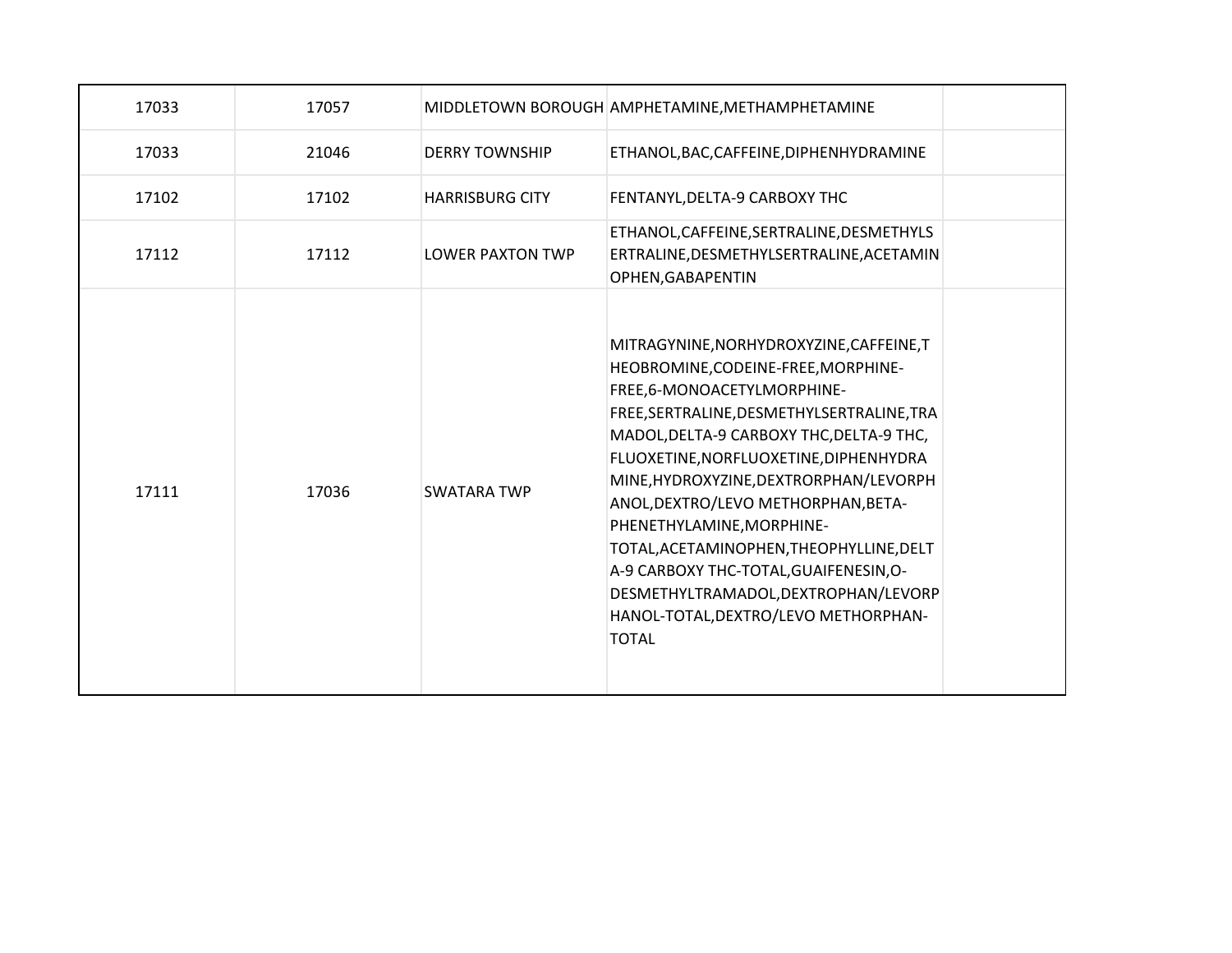| 17033 | 17057 |                         | MIDDLETOWN BOROUGH AMPHETAMINE, METHAMPHETAMINE                                                                                                                                                                                                                                                                                                                                                                                                                                                                                                       |  |
|-------|-------|-------------------------|-------------------------------------------------------------------------------------------------------------------------------------------------------------------------------------------------------------------------------------------------------------------------------------------------------------------------------------------------------------------------------------------------------------------------------------------------------------------------------------------------------------------------------------------------------|--|
| 17033 | 21046 | <b>DERRY TOWNSHIP</b>   | ETHANOL, BAC, CAFFEINE, DIPHENHYDRAMINE                                                                                                                                                                                                                                                                                                                                                                                                                                                                                                               |  |
| 17102 | 17102 | <b>HARRISBURG CITY</b>  | FENTANYL, DELTA-9 CARBOXY THC                                                                                                                                                                                                                                                                                                                                                                                                                                                                                                                         |  |
| 17112 | 17112 | <b>LOWER PAXTON TWP</b> | ETHANOL, CAFFEINE, SERTRALINE, DESMETHYLS<br>ERTRALINE, DESMETHYLSERTRALINE, ACETAMIN<br>OPHEN, GABAPENTIN                                                                                                                                                                                                                                                                                                                                                                                                                                            |  |
| 17111 | 17036 | <b>SWATARA TWP</b>      | MITRAGYNINE, NORHYDROXYZINE, CAFFEINE, T<br>HEOBROMINE, CODEINE-FREE, MORPHINE-<br>FREE,6-MONOACETYLMORPHINE-<br>FREE, SERTRALINE, DESMETHYLSERTRALINE, TRA<br>MADOL, DELTA-9 CARBOXY THC, DELTA-9 THC,<br>FLUOXETINE, NORFLUOXETINE, DIPHENHYDRA<br>MINE, HYDROXYZINE, DEXTRORPHAN/LEVORPH<br>ANOL, DEXTRO/LEVO METHORPHAN, BETA-<br>PHENETHYLAMINE, MORPHINE-<br>TOTAL, ACETAMINOPHEN, THEOPHYLLINE, DELT<br>A-9 CARBOXY THC-TOTAL, GUAIFENESIN, O-<br>DESMETHYLTRAMADOL, DEXTROPHAN/LEVORP<br>HANOL-TOTAL, DEXTRO/LEVO METHORPHAN-<br><b>TOTAL</b> |  |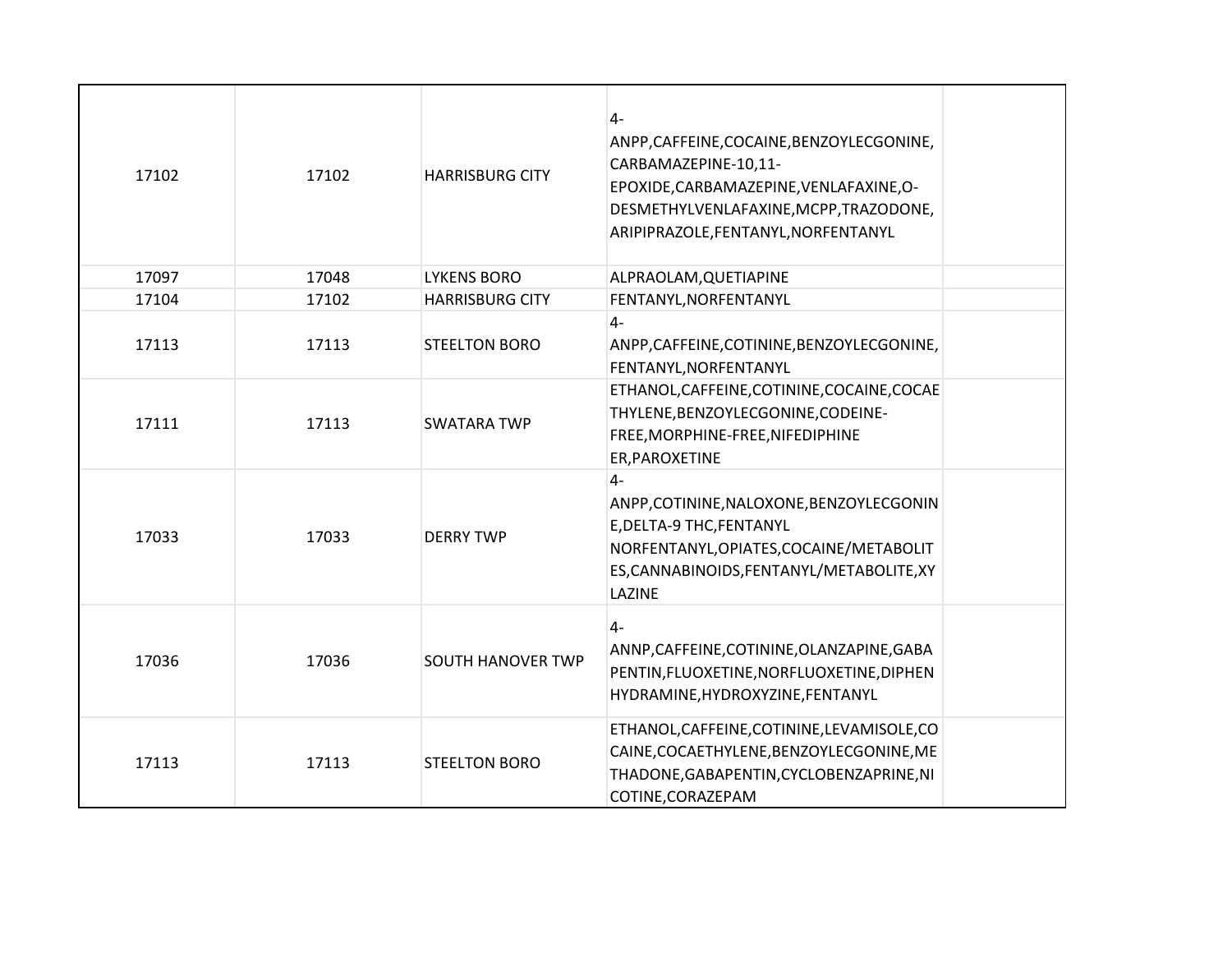| 17102 | 17102 | <b>HARRISBURG CITY</b>   | $4-$<br>ANPP,CAFFEINE,COCAINE,BENZOYLECGONINE,<br>CARBAMAZEPINE-10,11-<br>EPOXIDE, CARBAMAZEPINE, VENLAFAXINE, O-<br>DESMETHYLVENLAFAXINE, MCPP, TRAZODONE,<br>ARIPIPRAZOLE, FENTANYL, NORFENTANYL |  |
|-------|-------|--------------------------|----------------------------------------------------------------------------------------------------------------------------------------------------------------------------------------------------|--|
| 17097 | 17048 | <b>LYKENS BORO</b>       | ALPRAOLAM, QUETIAPINE                                                                                                                                                                              |  |
| 17104 | 17102 | <b>HARRISBURG CITY</b>   | FENTANYL, NORFENTANYL                                                                                                                                                                              |  |
| 17113 | 17113 | <b>STEELTON BORO</b>     | $4-$<br>ANPP, CAFFEINE, COTININE, BENZOYLECGONINE,<br>FENTANYL, NORFENTANYL                                                                                                                        |  |
| 17111 | 17113 | <b>SWATARA TWP</b>       | ETHANOL, CAFFEINE, COTININE, COCAINE, COCAE<br>THYLENE, BENZOYLECGONINE, CODEINE-<br>FREE, MORPHINE-FREE, NIFEDIPHINE<br>ER, PAROXETINE                                                            |  |
| 17033 | 17033 | <b>DERRY TWP</b>         | $4-$<br>ANPP,COTININE,NALOXONE,BENZOYLECGONIN<br>E, DELTA-9 THC, FENTANYL<br>NORFENTANYL, OPIATES, COCAINE/METABOLIT<br>ES, CANNABINOIDS, FENTANYL/METABOLITE, XY<br>LAZINE                        |  |
| 17036 | 17036 | <b>SOUTH HANOVER TWP</b> | $4-$<br>ANNP, CAFFEINE, COTININE, OLANZAPINE, GABA<br>PENTIN, FLUOXETINE, NORFLUOXETINE, DIPHEN<br>HYDRAMINE, HYDROXYZINE, FENTANYL                                                                |  |
| 17113 | 17113 | <b>STEELTON BORO</b>     | ETHANOL, CAFFEINE, COTININE, LEVAMISOLE, CO<br>CAINE, COCAETHYLENE, BENZOYLECGONINE, ME<br>THADONE, GABAPENTIN, CYCLOBENZAPRINE, NI<br>COTINE, CORAZEPAM                                           |  |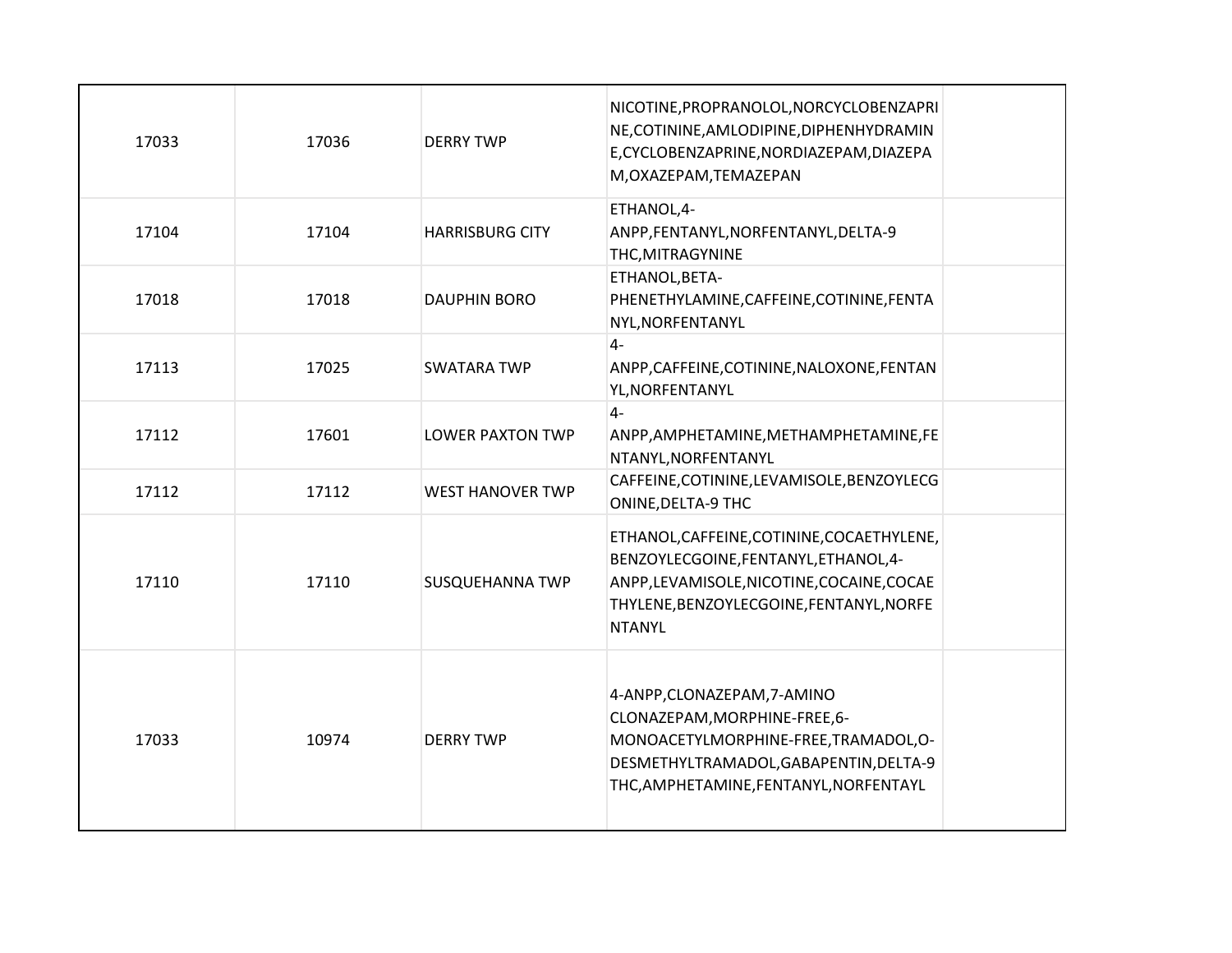| 17033 | 17036 | <b>DERRY TWP</b>        | NICOTINE, PROPRANOLOL, NORCYCLOBENZAPRI<br>NE, COTININE, AMLODIPINE, DIPHENHYDRAMIN<br>E, CYCLOBENZAPRINE, NORDIAZEPAM, DIAZEPA<br>M, OXAZEPAM, TEMAZEPAN                                  |  |
|-------|-------|-------------------------|--------------------------------------------------------------------------------------------------------------------------------------------------------------------------------------------|--|
| 17104 | 17104 | <b>HARRISBURG CITY</b>  | ETHANOL,4-<br>ANPP,FENTANYL,NORFENTANYL,DELTA-9<br>THC, MITRAGYNINE                                                                                                                        |  |
| 17018 | 17018 | <b>DAUPHIN BORO</b>     | ETHANOL, BETA-<br>PHENETHYLAMINE, CAFFEINE, COTININE, FENTA<br>NYL, NORFENTANYL                                                                                                            |  |
| 17113 | 17025 | <b>SWATARA TWP</b>      | $4-$<br>ANPP, CAFFEINE, COTININE, NALOXONE, FENTAN<br>YL, NORFENTANYL                                                                                                                      |  |
| 17112 | 17601 | <b>LOWER PAXTON TWP</b> | $4-$<br>ANPP, AMPHETAMINE, METHAMPHETAMINE, FE<br>NTANYL, NORFENTANYL                                                                                                                      |  |
| 17112 | 17112 | <b>WEST HANOVER TWP</b> | CAFFEINE, COTININE, LEVAMISOLE, BENZOYLECG<br><b>ONINE, DELTA-9 THC</b>                                                                                                                    |  |
| 17110 | 17110 | <b>SUSQUEHANNA TWP</b>  | ETHANOL, CAFFEINE, COTININE, COCAETHYLENE,<br>BENZOYLECGOINE, FENTANYL, ETHANOL, 4-<br>ANPP,LEVAMISOLE,NICOTINE,COCAINE,COCAE<br>THYLENE, BENZOYLECGOINE, FENTANYL, NORFE<br><b>NTANYL</b> |  |
| 17033 | 10974 | <b>DERRY TWP</b>        | 4-ANPP, CLONAZEPAM, 7-AMINO<br>CLONAZEPAM, MORPHINE-FREE, 6-<br>MONOACETYLMORPHINE-FREE, TRAMADOL, O-<br>DESMETHYLTRAMADOL, GABAPENTIN, DELTA-9<br>THC, AMPHETAMINE, FENTANYL, NORFENTAYL  |  |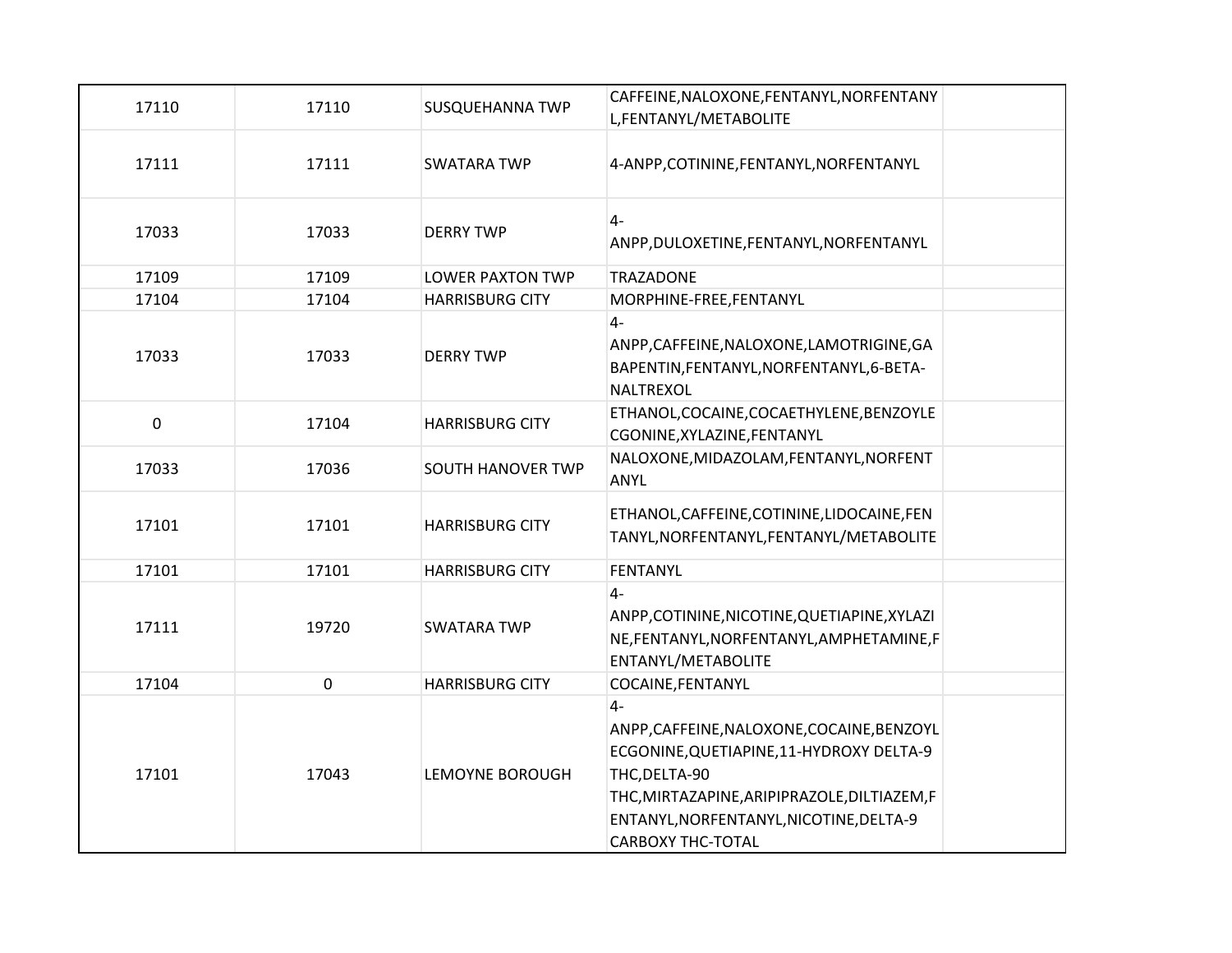| 17110               | 17110 | <b>SUSQUEHANNA TWP</b>   | CAFFEINE, NALOXONE, FENTANYL, NORFENTANY<br>L, FENTANYL/METABOLITE                                                                                                                                                                     |
|---------------------|-------|--------------------------|----------------------------------------------------------------------------------------------------------------------------------------------------------------------------------------------------------------------------------------|
| 17111               | 17111 | <b>SWATARA TWP</b>       | 4-ANPP, COTININE, FENTANYL, NORFENTANYL                                                                                                                                                                                                |
| 17033               | 17033 | <b>DERRY TWP</b>         | $4-$<br>ANPP, DULOXETINE, FENTANYL, NORFENTANYL                                                                                                                                                                                        |
| 17109               | 17109 | <b>LOWER PAXTON TWP</b>  | <b>TRAZADONE</b>                                                                                                                                                                                                                       |
| 17104               | 17104 | <b>HARRISBURG CITY</b>   | MORPHINE-FREE, FENTANYL                                                                                                                                                                                                                |
| 17033               | 17033 | <b>DERRY TWP</b>         | $4-$<br>ANPP, CAFFEINE, NALOXONE, LAMOTRIGINE, GA<br>BAPENTIN, FENTANYL, NORFENTANYL, 6-BETA-<br>NALTREXOL                                                                                                                             |
| $\mathsf{O}\xspace$ | 17104 | <b>HARRISBURG CITY</b>   | ETHANOL, COCAINE, COCAETHYLENE, BENZOYLE<br>CGONINE, XYLAZINE, FENTANYL                                                                                                                                                                |
| 17033               | 17036 | <b>SOUTH HANOVER TWP</b> | NALOXONE, MIDAZOLAM, FENTANYL, NORFENT<br><b>ANYL</b>                                                                                                                                                                                  |
| 17101               | 17101 | <b>HARRISBURG CITY</b>   | ETHANOL, CAFFEINE, COTININE, LIDOCAINE, FEN<br>TANYL, NORFENTANYL, FENTANYL/METABOLITE                                                                                                                                                 |
| 17101               | 17101 | <b>HARRISBURG CITY</b>   | <b>FENTANYL</b>                                                                                                                                                                                                                        |
| 17111               | 19720 | <b>SWATARA TWP</b>       | $4-$<br>ANPP, COTININE, NICOTINE, QUETIAPINE, XYLAZI<br>NE,FENTANYL,NORFENTANYL,AMPHETAMINE,F<br>ENTANYL/METABOLITE                                                                                                                    |
| 17104               | 0     | <b>HARRISBURG CITY</b>   | COCAINE, FENTANYL                                                                                                                                                                                                                      |
| 17101               | 17043 | LEMOYNE BOROUGH          | $4-$<br>ANPP, CAFFEINE, NALOXONE, COCAINE, BENZOYL<br>ECGONINE, QUETIAPINE, 11-HYDROXY DELTA-9<br>THC, DELTA-90<br>THC, MIRTAZAPINE, ARIPIPRAZOLE, DILTIAZEM, F<br>ENTANYL, NORFENTANYL, NICOTINE, DELTA-9<br><b>CARBOXY THC-TOTAL</b> |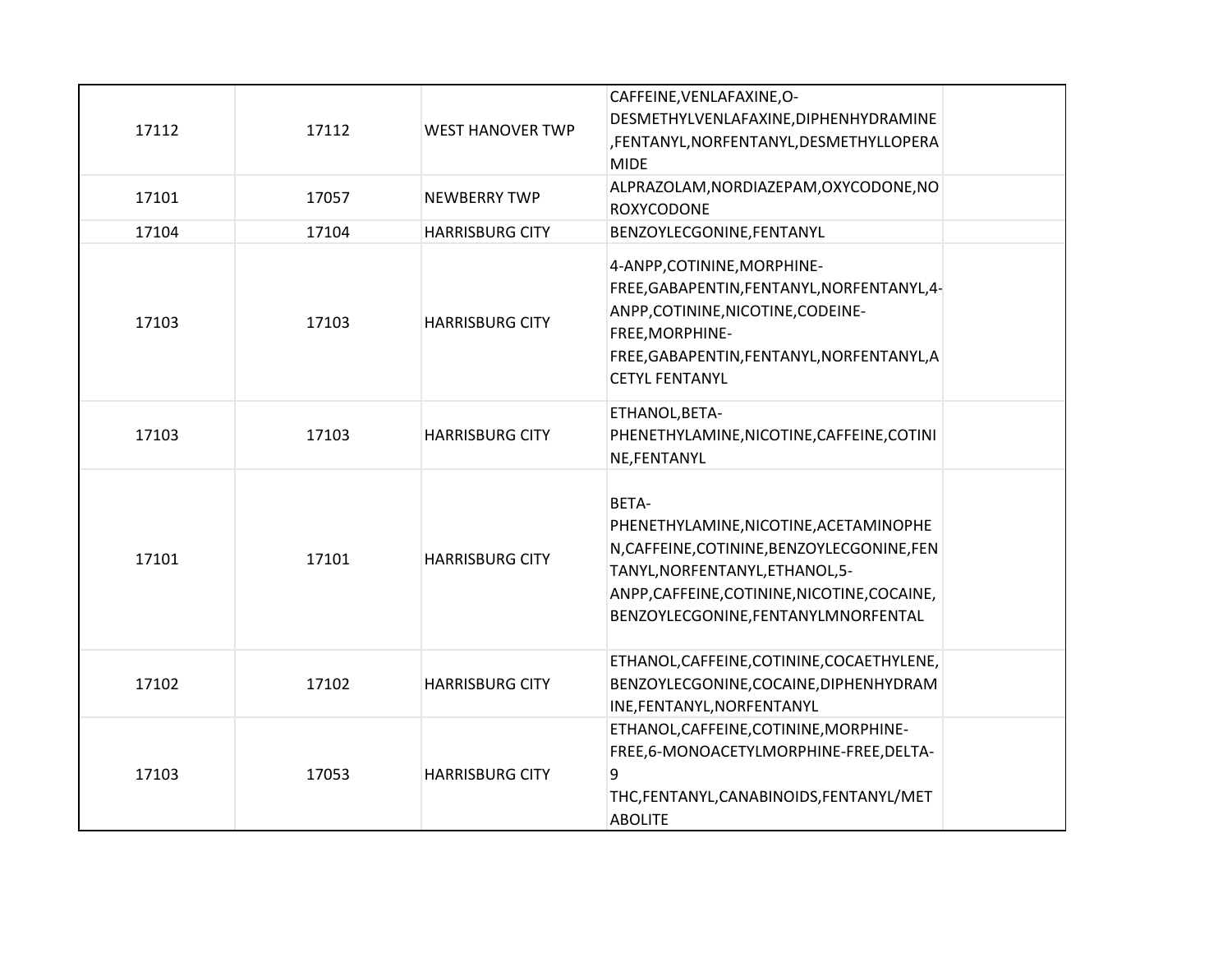| 17112 | 17112 | <b>WEST HANOVER TWP</b> | CAFFEINE, VENLAFAXINE, O-<br>DESMETHYLVENLAFAXINE, DIPHENHYDRAMINE<br>,FENTANYL,NORFENTANYL,DESMETHYLLOPERA<br><b>MIDE</b>                                                                                               |
|-------|-------|-------------------------|--------------------------------------------------------------------------------------------------------------------------------------------------------------------------------------------------------------------------|
| 17101 | 17057 | <b>NEWBERRY TWP</b>     | ALPRAZOLAM, NORDIAZEPAM, OXYCODONE, NO<br><b>ROXYCODONE</b>                                                                                                                                                              |
| 17104 | 17104 | <b>HARRISBURG CITY</b>  | BENZOYLECGONINE, FENTANYL                                                                                                                                                                                                |
| 17103 | 17103 | <b>HARRISBURG CITY</b>  | 4-ANPP, COTININE, MORPHINE-<br>FREE, GABAPENTIN, FENTANYL, NORFENTANYL, 4-<br>ANPP, COTININE, NICOTINE, CODEINE-<br>FREE, MORPHINE-<br>FREE, GABAPENTIN, FENTANYL, NORFENTANYL, A<br><b>CETYL FENTANYL</b>               |
| 17103 | 17103 | <b>HARRISBURG CITY</b>  | ETHANOL, BETA-<br>PHENETHYLAMINE, NICOTINE, CAFFEINE, COTINI<br>NE, FENTANYL                                                                                                                                             |
| 17101 | 17101 | <b>HARRISBURG CITY</b>  | BETA-<br>PHENETHYLAMINE, NICOTINE, ACETAMINOPHE<br>N, CAFFEINE, COTININE, BENZOYLECGONINE, FEN<br>TANYL, NORFENTANYL, ETHANOL, 5-<br>ANPP, CAFFEINE, COTININE, NICOTINE, COCAINE,<br>BENZOYLECGONINE, FENTANYLMNORFENTAL |
| 17102 | 17102 | <b>HARRISBURG CITY</b>  | ETHANOL, CAFFEINE, COTININE, COCAETHYLENE,<br>BENZOYLECGONINE, COCAINE, DIPHENHYDRAM<br>INE, FENTANYL, NORFENTANYL                                                                                                       |
| 17103 | 17053 | <b>HARRISBURG CITY</b>  | ETHANOL, CAFFEINE, COTININE, MORPHINE-<br>FREE,6-MONOACETYLMORPHINE-FREE,DELTA-<br>9<br>THC, FENTANYL, CANABINOIDS, FENTANYL/MET<br><b>ABOLITE</b>                                                                       |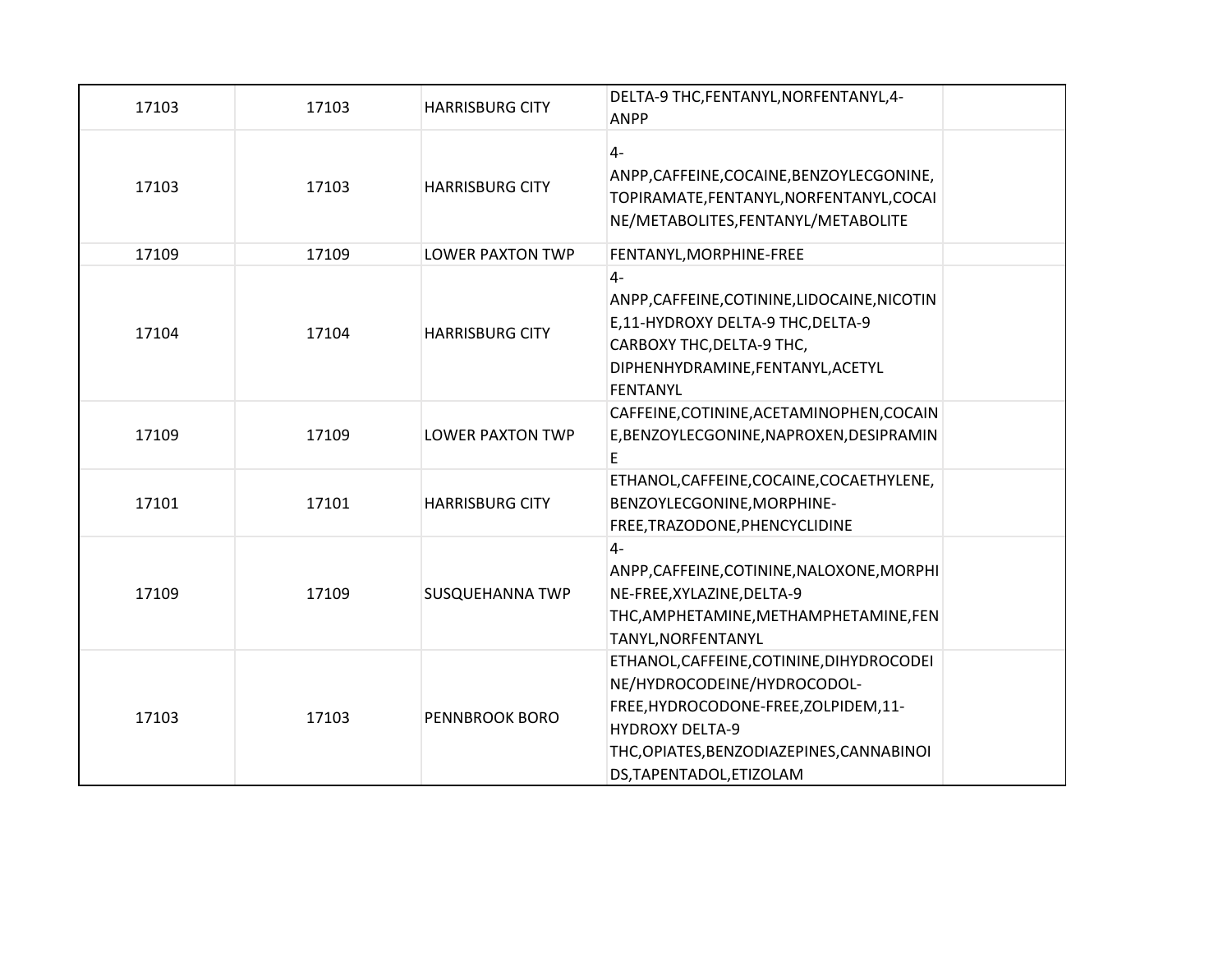| 17103 | 17103 | <b>HARRISBURG CITY</b>  | DELTA-9 THC, FENTANYL, NORFENTANYL, 4-<br><b>ANPP</b>                                                                                                                                                                |
|-------|-------|-------------------------|----------------------------------------------------------------------------------------------------------------------------------------------------------------------------------------------------------------------|
| 17103 | 17103 | <b>HARRISBURG CITY</b>  | $4-$<br>ANPP, CAFFEINE, COCAINE, BENZOYLECGONINE,<br>TOPIRAMATE, FENTANYL, NORFENTANYL, COCAI<br>NE/METABOLITES, FENTANYL/METABOLITE                                                                                 |
| 17109 | 17109 | <b>LOWER PAXTON TWP</b> | FENTANYL, MORPHINE-FREE                                                                                                                                                                                              |
| 17104 | 17104 | <b>HARRISBURG CITY</b>  | $4-$<br>ANPP, CAFFEINE, COTININE, LIDOCAINE, NICOTIN<br>E,11-HYDROXY DELTA-9 THC, DELTA-9<br>CARBOXY THC, DELTA-9 THC,<br>DIPHENHYDRAMINE, FENTANYL, ACETYL<br>FENTANYL                                              |
| 17109 | 17109 | <b>LOWER PAXTON TWP</b> | CAFFEINE, COTININE, ACETAMINOPHEN, COCAIN<br>E, BENZOYLECGONINE, NAPROXEN, DESIPRAMIN<br>E                                                                                                                           |
| 17101 | 17101 | <b>HARRISBURG CITY</b>  | ETHANOL, CAFFEINE, COCAINE, COCAETHYLENE,<br>BENZOYLECGONINE, MORPHINE-<br>FREE, TRAZODONE, PHENCYCLIDINE                                                                                                            |
| 17109 | 17109 | <b>SUSQUEHANNA TWP</b>  | $4-$<br>ANPP, CAFFEINE, COTININE, NALOXONE, MORPHI<br>NE-FREE, XYLAZINE, DELTA-9<br>THC, AMPHETAMINE, METHAMPHETAMINE, FEN<br>TANYL, NORFENTANYL                                                                     |
| 17103 | 17103 | PENNBROOK BORO          | ETHANOL, CAFFEINE, COTININE, DIHYDROCODEI<br>NE/HYDROCODEINE/HYDROCODOL-<br>FREE, HYDROCODONE-FREE, ZOLPIDEM, 11-<br><b>HYDROXY DELTA-9</b><br>THC, OPIATES, BENZODIAZEPINES, CANNABINOI<br>DS, TAPENTADOL, ETIZOLAM |